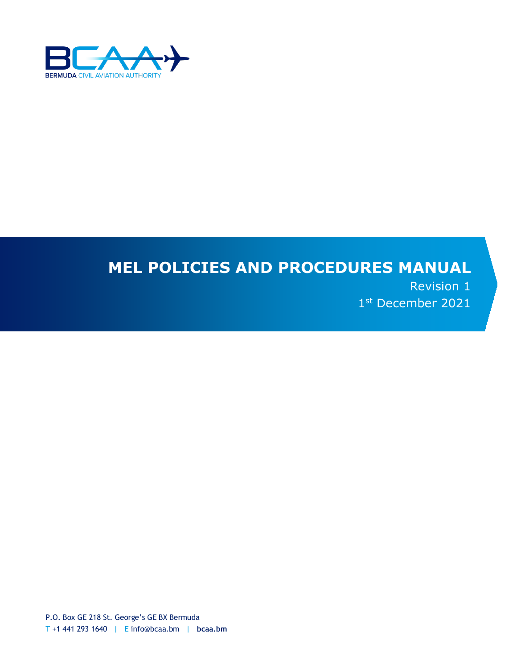

# **MEL POLICIES AND PROCEDURES MANUAL**

Revision 1 1st December 2021

P.O. Box GE 218 St. George's GE BX Bermuda T +1 441 293 1640 | E info@bcaa.bm | **bcaa.bm**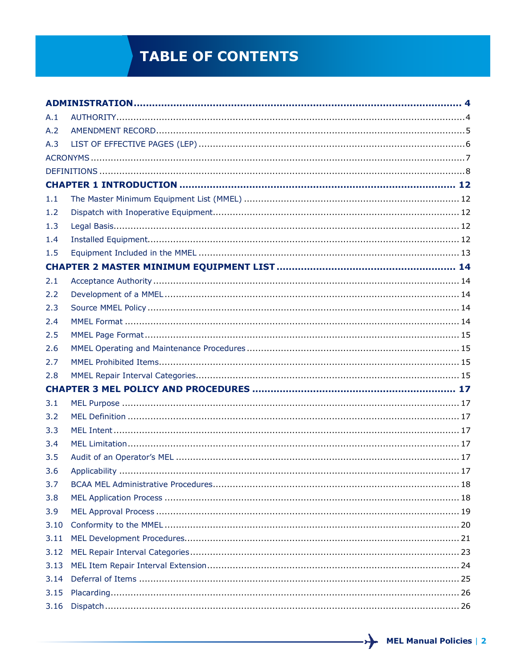# **TABLE OF CONTENTS**

| A.1  |  |
|------|--|
| A.2  |  |
| A.3  |  |
|      |  |
|      |  |
|      |  |
| 1.1  |  |
| 1.2  |  |
| 1.3  |  |
| 1.4  |  |
| 1.5  |  |
|      |  |
| 2.1  |  |
| 2.2  |  |
| 2.3  |  |
| 2.4  |  |
| 2.5  |  |
| 2.6  |  |
| 2.7  |  |
| 2.8  |  |
|      |  |
| 3.1  |  |
| 3.2  |  |
| 3.3  |  |
| 3.4  |  |
| 3.5  |  |
| 3.6  |  |
| 3.7  |  |
| 3.8  |  |
| 3.9  |  |
| 3.10 |  |
| 3.11 |  |
| 3.12 |  |
| 3.13 |  |
| 3.14 |  |
| 3.15 |  |
| 3.16 |  |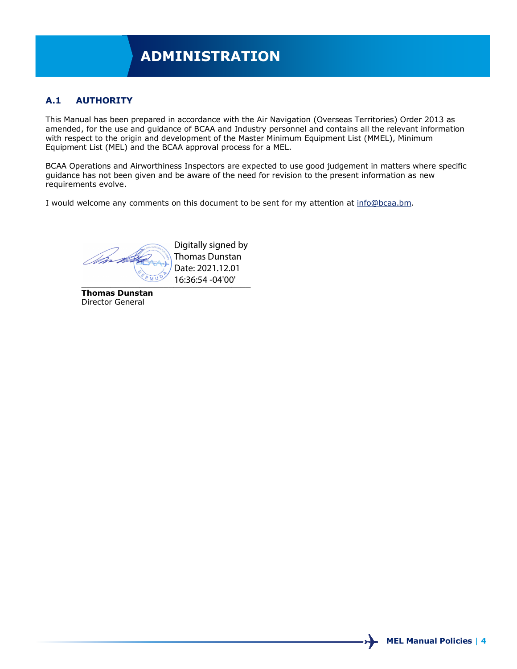# **ADMINISTRATION**

## **A.1 AUTHORITY**

This Manual has been prepared in accordance with the Air Navigation (Overseas Territories) Order 2013 as amended, for the use and guidance of BCAA and Industry personnel and contains all the relevant information with respect to the origin and development of the Master Minimum Equipment List (MMEL), Minimum Equipment List (MEL) and the BCAA approval process for a MEL.

BCAA Operations and Airworthiness Inspectors are expected to use good judgement in matters where specific guidance has not been given and be aware of the need for revision to the present information as new requirements evolve.

I would welcome any comments on this document to be sent for my attention at [info@bcaa.bm.](mailto:info@bcaa.bm)

*Omri de*  $\frac{16.36:54-04'00''}{16.36:54-04'00''}$ 

Digitally signed by Thomas Dunstan Date: 2021.12.01

**Thomas Dunstan** Director General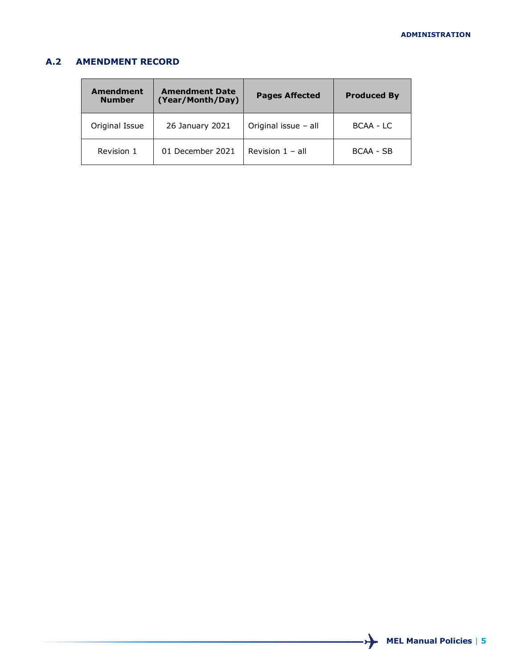## **A.2 AMENDMENT RECORD**

| Amendment<br><b>Number</b> | <b>Amendment Date</b><br>(Year/Month/Day) | <b>Pages Affected</b>     | <b>Produced By</b> |
|----------------------------|-------------------------------------------|---------------------------|--------------------|
| Original Issue             | 26 January 2021                           | Original issue - all      | BCAA - LC          |
| Revision 1                 | 01 December 2021                          | Revision $1 - \text{all}$ | BCAA - SB          |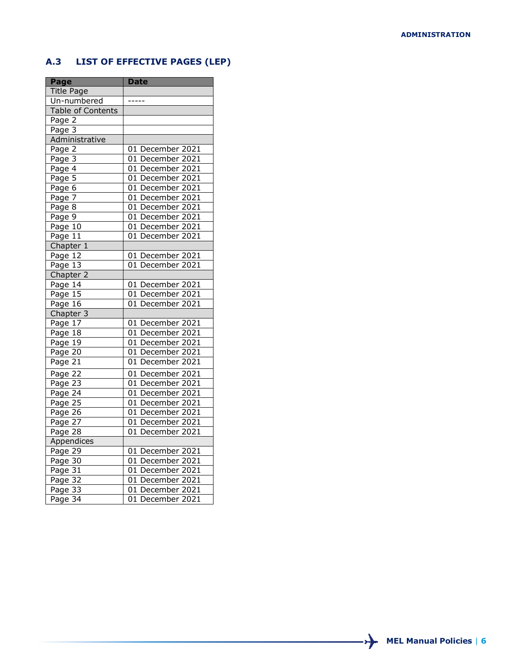## **A.3 LIST OF EFFECTIVE PAGES (LEP)**

| Page                 | <b>Date</b>        |
|----------------------|--------------------|
| <b>Title Page</b>    |                    |
| Un-numbered          |                    |
| Table of Contents    |                    |
| Page 2               |                    |
| Page 3               |                    |
| Administrative       |                    |
| Page 2               | 01 December 2021   |
| Page 3               | 01 December 2021   |
| Page 4               | 01 December 2021   |
| Page $\overline{5}$  | 01 December 2021   |
| Page 6               | 01 December 2021   |
| Page 7               | 01 December 2021   |
| Page 8               | 01 December 2021   |
| Page 9               | 01 December 2021   |
| Page 10              | 01 December 2021   |
| Page $1\overline{1}$ | 01 December 2021   |
| Chapter 1            |                    |
| Page 12              | 01 December 2021   |
| Page 13              | 01 December $2021$ |
| Chapter 2            |                    |
| Page 14              | 01 December 2021   |
| Page $15$            | 01 December 2021   |
| Page 16              | 01 December 2021   |
| Chapter 3            |                    |
| Page 17              | 01 December 2021   |
| Page 18              | 01 December 2021   |
| Page 19              | 01 December 2021   |
| Page 20              | 01 December 2021   |
| Page 21              | 01 December 2021   |
| Page $2\overline{2}$ | 01 December 2021   |
| Page 23              | 01 December 2021   |
| Page 24              | 01 December 2021   |
| Page $25$            | 01 December 2021   |
| Page 26              | 01 December 2021   |
| Page 27              | 01 December 2021   |
| Page 28              | 01 December 2021   |
| Appendices           |                    |
| Page 29              | 01 December 2021   |
| Page 30              | 01 December 2021   |
| Page 31              | 01 December 2021   |
| Page 32              | 01 December 2021   |
| Page 33              | 01 December 2021   |
| Page $34$            | 01 December 2021   |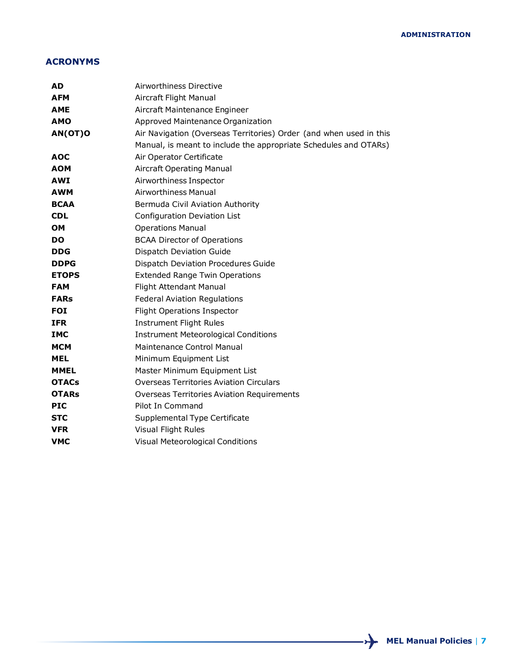## **ACRONYMS**

| AD           | Airworthiness Directive                                            |  |  |
|--------------|--------------------------------------------------------------------|--|--|
| <b>AFM</b>   | Aircraft Flight Manual                                             |  |  |
| <b>AME</b>   | Aircraft Maintenance Engineer                                      |  |  |
| <b>AMO</b>   | Approved Maintenance Organization                                  |  |  |
| AN(OT)O      | Air Navigation (Overseas Territories) Order (and when used in this |  |  |
|              | Manual, is meant to include the appropriate Schedules and OTARs)   |  |  |
| AOC          | Air Operator Certificate                                           |  |  |
| <b>AOM</b>   | <b>Aircraft Operating Manual</b>                                   |  |  |
| <b>AWI</b>   | Airworthiness Inspector                                            |  |  |
| <b>AWM</b>   | <b>Airworthiness Manual</b>                                        |  |  |
| <b>BCAA</b>  | Bermuda Civil Aviation Authority                                   |  |  |
| <b>CDL</b>   | Configuration Deviation List                                       |  |  |
| <b>OM</b>    | <b>Operations Manual</b>                                           |  |  |
| <b>DO</b>    | <b>BCAA Director of Operations</b>                                 |  |  |
| <b>DDG</b>   | Dispatch Deviation Guide                                           |  |  |
| <b>DDPG</b>  | Dispatch Deviation Procedures Guide                                |  |  |
| <b>ETOPS</b> | <b>Extended Range Twin Operations</b>                              |  |  |
| <b>FAM</b>   | Flight Attendant Manual                                            |  |  |
| <b>FARs</b>  | <b>Federal Aviation Regulations</b>                                |  |  |
| <b>FOI</b>   | <b>Flight Operations Inspector</b>                                 |  |  |
| <b>IFR</b>   | <b>Instrument Flight Rules</b>                                     |  |  |
| <b>IMC</b>   | <b>Instrument Meteorological Conditions</b>                        |  |  |
| <b>MCM</b>   | Maintenance Control Manual                                         |  |  |
| <b>MEL</b>   | Minimum Equipment List                                             |  |  |
| <b>MMEL</b>  | Master Minimum Equipment List                                      |  |  |
| <b>OTACs</b> | <b>Overseas Territories Aviation Circulars</b>                     |  |  |
| <b>OTARs</b> | <b>Overseas Territories Aviation Requirements</b>                  |  |  |
| <b>PIC</b>   | Pilot In Command                                                   |  |  |
| <b>STC</b>   | Supplemental Type Certificate                                      |  |  |
| <b>VFR</b>   | Visual Flight Rules                                                |  |  |
| <b>VMC</b>   | Visual Meteorological Conditions                                   |  |  |
|              |                                                                    |  |  |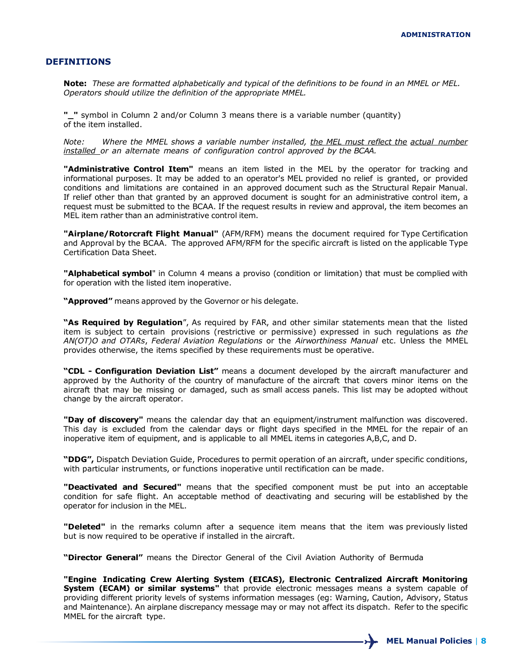#### **DEFINITIONS**

**Note:** *These are formatted alphabetically and typical of the definitions to be found in an MMEL or MEL. Operators should utilize the definition of the appropriate MMEL.*

**"\_"** symbol in Column 2 and/or Column 3 means there is a variable number (quantity) of the item installed.

*Note: Where the MMEL shows a variable number installed, the MEL must reflect the actual number installed or an alternate means of configuration control approved by the BCAA.*

**"Administrative Control Item"** means an item listed in the MEL by the operator for tracking and informational purposes. It may be added to an operator's MEL provided no relief is granted, or provided conditions and limitations are contained in an approved document such as the Structural Repair Manual. If relief other than that granted by an approved document is sought for an administrative control item, a request must be submitted to the BCAA. If the request results in review and approval, the item becomes an MEL item rather than an administrative control item.

**"Airplane/Rotorcraft Flight Manual"** (AFM/RFM) means the document required for Type Certification and Approval by the BCAA. The approved AFM/RFM for the specific aircraft is listed on the applicable Type Certification Data Sheet.

**"Alphabetical symbol**" in Column 4 means a proviso (condition or limitation) that must be complied with for operation with the listed item inoperative.

**"Approved"** means approved by the Governor or his delegate.

**"As Required by Regulation**", As required by FAR, and other similar statements mean that the listed item is subject to certain provisions (restrictive or permissive) expressed in such regulations as *the AN(OT)O and OTARs*, *Federal Aviation Regulations* or the *Airworthiness Manual* etc. Unless the MMEL provides otherwise, the items specified by these requirements must be operative.

**"CDL - Configuration Deviation List"** means a document developed by the aircraft manufacturer and approved by the Authority of the country of manufacture of the aircraft that covers minor items on the aircraft that may be missing or damaged, such as small access panels. This list may be adopted without change by the aircraft operator.

**"Day of discovery"** means the calendar day that an equipment/instrument malfunction was discovered. This day is excluded from the calendar days or flight days specified in the MMEL for the repair of an inoperative item of equipment, and is applicable to all MMEL items in categories A,B,C, and D.

**"DDG",** Dispatch Deviation Guide, Procedures to permit operation of an aircraft, under specific conditions, with particular instruments, or functions inoperative until rectification can be made.

**"Deactivated and Secured"** means that the specified component must be put into an acceptable condition for safe flight. An acceptable method of deactivating and securing will be established by the operator for inclusion in the MEL.

**"Deleted"** in the remarks column after a sequence item means that the item was previously listed but is now required to be operative if installed in the aircraft.

**"Director General"** means the Director General of the Civil Aviation Authority of Bermuda

**"Engine Indicating Crew Alerting System (EICAS), Electronic Centralized Aircraft Monitoring System (ECAM) or similar systems"** that provide electronic messages means a system capable of providing different priority levels of systems information messages (eg: Warning, Caution, Advisory, Status and Maintenance). An airplane discrepancy message may or may not affect its dispatch. Refer to the specific MMEL for the aircraft type.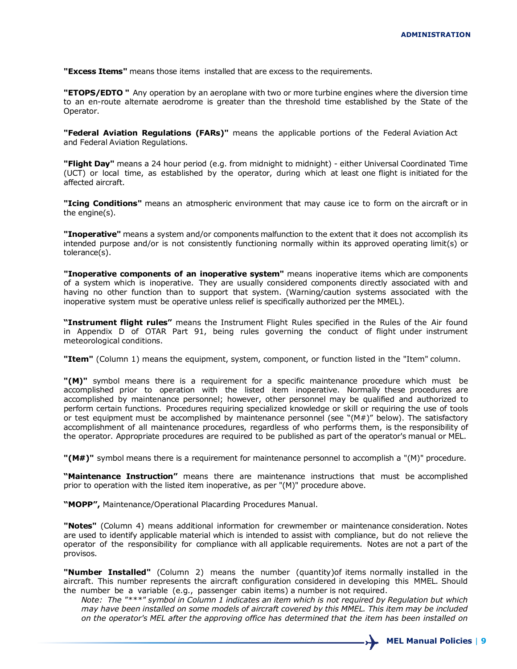**"Excess Items"** means those items installed that are excess to the requirements.

**"ETOPS/EDTO "** Any operation by an aeroplane with two or more turbine engines where the diversion time to an en-route alternate aerodrome is greater than the threshold time established by the State of the Operator.

**"Federal Aviation Regulations (FARs)"** means the applicable portions of the Federal Aviation Act and Federal Aviation Regulations.

**"Flight Day"** means a 24 hour period (e.g. from midnight to midnight) - either Universal Coordinated Time (UCT) or local time, as established by the operator, during which at least one flight is initiated for the affected aircraft.

**"Icing Conditions"** means an atmospheric environment that may cause ice to form on the aircraft or in the engine(s).

**"Inoperative"** means a system and/or components malfunction to the extent that it does not accomplish its intended purpose and/or is not consistently functioning normally within its approved operating limit(s) or tolerance(s).

**"Inoperative components of an inoperative system"** means inoperative items which are components of a system which is inoperative. They are usually considered components directly associated with and having no other function than to support that system. (Warning/caution systems associated with the inoperative system must be operative unless relief is specifically authorized per the MMEL).

**"Instrument flight rules"** means the Instrument Flight Rules specified in the Rules of the Air found in Appendix D of OTAR Part 91, being rules governing the conduct of flight under instrument meteorological conditions.

**"Item"** (Column 1) means the equipment, system, component, or function listed in the "Item" column.

**"(M)"** symbol means there is a requirement for a specific maintenance procedure which must be accomplished prior to operation with the listed item inoperative. Normally these procedures are accomplished by maintenance personnel; however, other personnel may be qualified and authorized to perform certain functions. Procedures requiring specialized knowledge or skill or requiring the use of tools or test equipment must be accomplished by maintenance personnel (see " $(M#)$ " below). The satisfactory accomplishment of all maintenance procedures, regardless of who performs them, is the responsibility of the operator. Appropriate procedures are required to be published as part of the operator's manual or MEL.

**"(M#)"** symbol means there is a requirement for maintenance personnel to accomplish a "(M)" procedure.

**"Maintenance Instruction"** means there are maintenance instructions that must be accomplished prior to operation with the listed item inoperative, as per "(M)" procedure above.

**"MOPP",** Maintenance/Operational Placarding Procedures Manual.

**"Notes"** (Column 4) means additional information for crewmember or maintenance consideration. Notes are used to identify applicable material which is intended to assist with compliance, but do not relieve the operator of the responsibility for compliance with all applicable requirements. Notes are not a part of the provisos.

**"Number Installed"** (Column 2) means the number (quantity)of items normally installed in the aircraft. This number represents the aircraft configuration considered in developing this MMEL. Should the number be a variable (e.g., passenger cabin items) a number is not required.

*Note: The "\*\*\*" symbol in Column 1 indicates an item which is not required by Regulation but which may have been installed on some models of aircraft covered by this MMEL. This item may be included on the operator's MEL after the approving office has determined that the item has been installed on*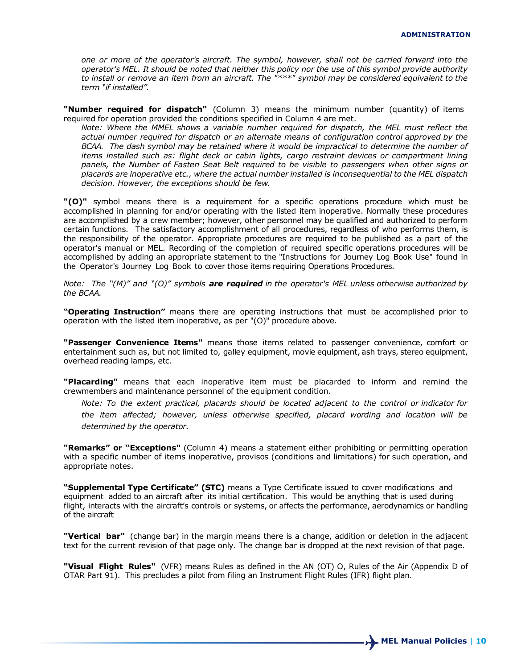*one or more of the operator's aircraft. The symbol, however, shall not be carried forward into the operator's MEL. It should be noted that neither this policy nor the use of this symbol provide authority to install or remove an item from an aircraft. The "\*\*\*" symbol may be considered equivalent to the term "if installed".*

**"Number required for dispatch"** (Column 3) means the minimum number (quantity) of items required for operation provided the conditions specified in Column 4 are met.

*Note: Where the MMEL shows a variable number required for dispatch, the MEL must reflect the actual number required for dispatch or an alternate means of configuration control approved by the BCAA. The dash symbol may be retained where it would be impractical to determine the number of items installed such as: flight deck or cabin lights, cargo restraint devices or compartment lining panels, the Number of Fasten Seat Belt required to be visible to passengers when other signs or placards are inoperative etc., where the actual number installed is inconsequential to the MEL dispatch decision. However, the exceptions should be few.*

**"(O)"** symbol means there is a requirement for a specific operations procedure which must be accomplished in planning for and/or operating with the listed item inoperative. Normally these procedures are accomplished by a crew member; however, other personnel may be qualified and authorized to perform certain functions. The satisfactory accomplishment of all procedures, regardless of who performs them, is the responsibility of the operator. Appropriate procedures are required to be published as a part of the operator's manual or MEL. Recording of the completion of required specific operations procedures will be accomplished by adding an appropriate statement to the "Instructions for Journey Log Book Use" found in the Operator's Journey Log Book to cover those items requiring Operations Procedures.

*Note: The "(M)" and "(O)" symbols are required in the operator's MEL unless otherwise authorized by the BCAA.*

**"Operating Instruction"** means there are operating instructions that must be accomplished prior to operation with the listed item inoperative, as per "(O)" procedure above.

**"Passenger Convenience Items"** means those items related to passenger convenience, comfort or entertainment such as, but not limited to, galley equipment, movie equipment, ash trays, stereo equipment, overhead reading lamps, etc.

**"Placarding"** means that each inoperative item must be placarded to inform and remind the crewmembers and maintenance personnel of the equipment condition.

*Note: To the extent practical, placards should be located adjacent to the control or indicator for the item affected; however, unless otherwise specified, placard wording and location will be determined by the operator.*

**"Remarks" or "Exceptions"** (Column 4) means a statement either prohibiting or permitting operation with a specific number of items inoperative, provisos (conditions and limitations) for such operation, and appropriate notes.

**"Supplemental Type Certificate" (STC)** means a Type Certificate issued to cover modifications and equipment added to an aircraft after its initial certification. This would be anything that is used during flight, interacts with the aircraft's controls or systems, or affects the performance, aerodynamics or handling of the aircraft

**"Vertical bar"** (change bar) in the margin means there is a change, addition or deletion in the adjacent text for the current revision of that page only. The change bar is dropped at the next revision of that page.

**"Visual Flight Rules"** (VFR) means Rules as defined in the AN (OT) O, Rules of the Air (Appendix D of OTAR Part 91). This precludes a pilot from filing an Instrument Flight Rules (IFR) flight plan.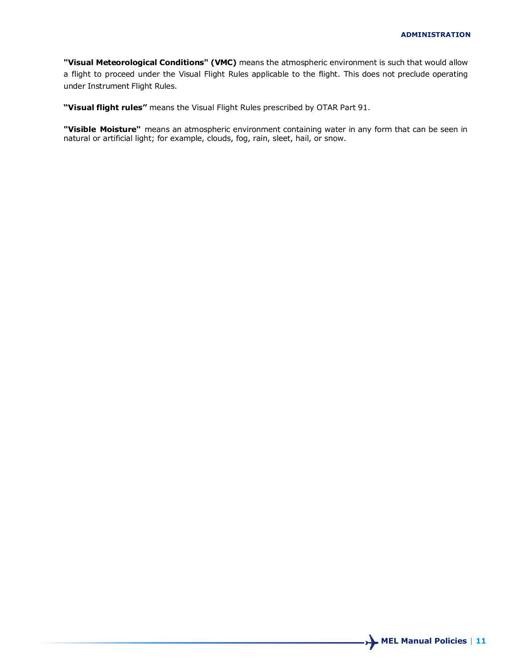**"Visual Meteorological Conditions" (VMC)** means the atmospheric environment is such that would allow a flight to proceed under the Visual Flight Rules applicable to the flight. This does not preclude operating under Instrument Flight Rules.

**"Visual flight rules"** means the Visual Flight Rules prescribed by OTAR Part 91.

**"Visible Moisture"** means an atmospheric environment containing water in any form that can be seen in natural or artificial light; for example, clouds, fog, rain, sleet, hail, or snow.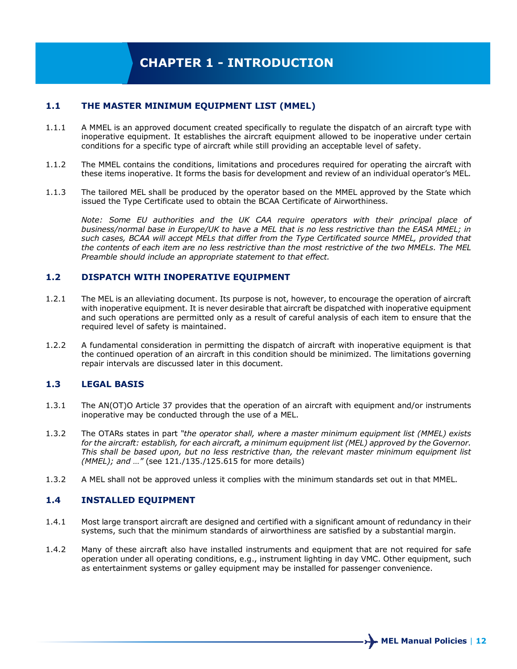## **1.1 THE MASTER MINIMUM EQUIPMENT LIST (MMEL)**

- 1.1.1 A MMEL is an approved document created specifically to regulate the dispatch of an aircraft type with inoperative equipment. It establishes the aircraft equipment allowed to be inoperative under certain conditions for a specific type of aircraft while still providing an acceptable level of safety.
- 1.1.2 The MMEL contains the conditions, limitations and procedures required for operating the aircraft with these items inoperative. It forms the basis for development and review of an individual operator's MEL.
- 1.1.3 The tailored MEL shall be produced by the operator based on the MMEL approved by the State which issued the Type Certificate used to obtain the BCAA Certificate of Airworthiness.

*Note: Some EU authorities and the UK CAA require operators with their principal place of business/normal base in Europe/UK to have a MEL that is no less restrictive than the EASA MMEL; in such cases, BCAA will accept MELs that differ from the Type Certificated source MMEL, provided that the contents of each item are no less restrictive than the most restrictive of the two MMELs. The MEL Preamble should include an appropriate statement to that effect.*

#### **1.2 DISPATCH WITH INOPERATIVE EQUIPMENT**

- 1.2.1 The MEL is an alleviating document. Its purpose is not, however, to encourage the operation of aircraft with inoperative equipment. It is never desirable that aircraft be dispatched with inoperative equipment and such operations are permitted only as a result of careful analysis of each item to ensure that the required level of safety is maintained.
- 1.2.2 A fundamental consideration in permitting the dispatch of aircraft with inoperative equipment is that the continued operation of an aircraft in this condition should be minimized. The limitations governing repair intervals are discussed later in this document.

## **1.3 LEGAL BASIS**

- 1.3.1 The AN(OT)O Article 37 provides that the operation of an aircraft with equipment and/or instruments inoperative may be conducted through the use of a MEL.
- 1.3.2 The OTARs states in part *"the operator shall, where a master minimum equipment list (MMEL) exists*  for the aircraft: establish, for each aircraft, a minimum equipment list (MEL) approved by the Governor. *This shall be based upon, but no less restrictive than, the relevant master minimum equipment list (MMEL); and …"* (see 121./135./125.615 for more details)
- 1.3.2 A MEL shall not be approved unless it complies with the minimum standards set out in that MMEL.

## **1.4 INSTALLED EQUIPMENT**

- 1.4.1 Most large transport aircraft are designed and certified with a significant amount of redundancy in their systems, such that the minimum standards of airworthiness are satisfied by a substantial margin.
- 1.4.2 Many of these aircraft also have installed instruments and equipment that are not required for safe operation under all operating conditions, e.g., instrument lighting in day VMC. Other equipment, such as entertainment systems or galley equipment may be installed for passenger convenience.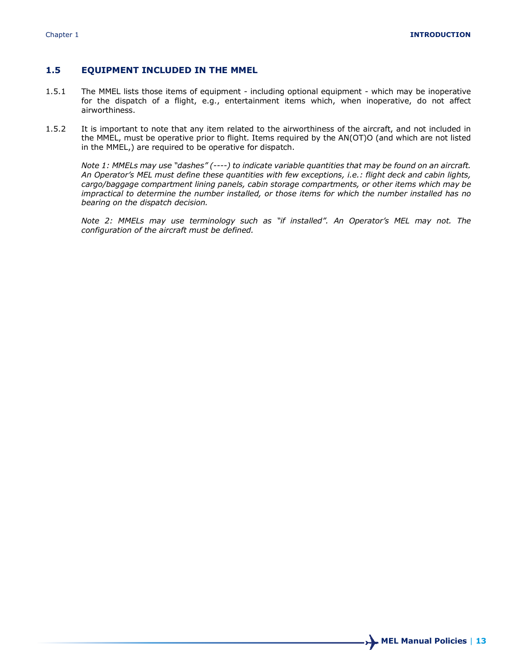#### **1.5 EQUIPMENT INCLUDED IN THE MMEL**

- 1.5.1 The MMEL lists those items of equipment including optional equipment which may be inoperative for the dispatch of a flight, e.g., entertainment items which, when inoperative, do not affect airworthiness.
- 1.5.2 It is important to note that any item related to the airworthiness of the aircraft, and not included in the MMEL, must be operative prior to flight. Items required by the AN(OT)O (and which are not listed in the MMEL,) are required to be operative for dispatch.

*Note 1: MMELs may use "dashes" (----) to indicate variable quantities that may be found on an aircraft. An Operator's MEL must define these quantities with few exceptions, i.e.: flight deck and cabin lights, cargo/baggage compartment lining panels, cabin storage compartments, or other items which may be impractical to determine the number installed, or those items for which the number installed has no bearing on the dispatch decision.*

*Note 2: MMELs may use terminology such as "if installed". An Operator's MEL may not. The configuration of the aircraft must be defined.*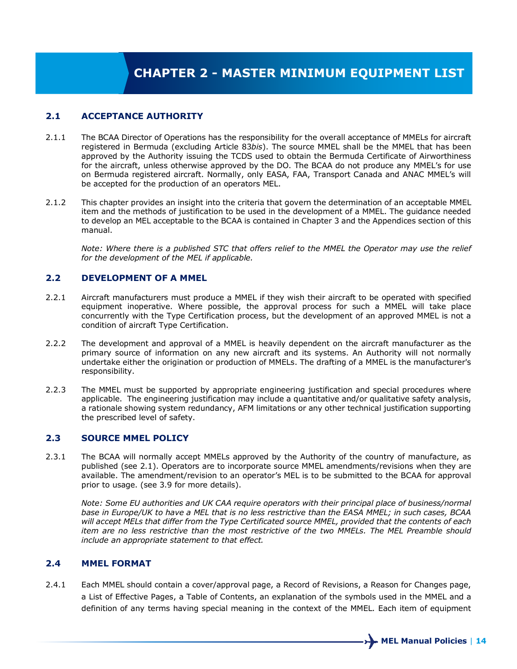## **2.1 ACCEPTANCE AUTHORITY**

- 2.1.1 The BCAA Director of Operations has the responsibility for the overall acceptance of MMELs for aircraft registered in Bermuda (excluding Article 83*bis*). The source MMEL shall be the MMEL that has been approved by the Authority issuing the TCDS used to obtain the Bermuda Certificate of Airworthiness for the aircraft, unless otherwise approved by the DO. The BCAA do not produce any MMEL's for use on Bermuda registered aircraft. Normally, only EASA, FAA, Transport Canada and ANAC MMEL's will be accepted for the production of an operators MEL.
- 2.1.2 This chapter provides an insight into the criteria that govern the determination of an acceptable MMEL item and the methods of justification to be used in the development of a MMEL. The guidance needed to develop an MEL acceptable to the BCAA is contained in Chapter 3 and the Appendices section of this manual.

*Note: Where there is a published STC that offers relief to the MMEL the Operator may use the relief for the development of the MEL if applicable.*

### **2.2 DEVELOPMENT OF A MMEL**

- 2.2.1 Aircraft manufacturers must produce a MMEL if they wish their aircraft to be operated with specified equipment inoperative. Where possible, the approval process for such a MMEL will take place concurrently with the Type Certification process, but the development of an approved MMEL is not a condition of aircraft Type Certification.
- 2.2.2 The development and approval of a MMEL is heavily dependent on the aircraft manufacturer as the primary source of information on any new aircraft and its systems. An Authority will not normally undertake either the origination or production of MMELs. The drafting of a MMEL is the manufacturer's responsibility.
- 2.2.3 The MMEL must be supported by appropriate engineering justification and special procedures where applicable. The engineering justification may include a quantitative and/or qualitative safety analysis, a rationale showing system redundancy, AFM limitations or any other technical justification supporting the prescribed level of safety.

### **2.3 SOURCE MMEL POLICY**

2.3.1 The BCAA will normally accept MMELs approved by the Authority of the country of manufacture, as published (see 2.1). Operators are to incorporate source MMEL amendments/revisions when they are available. The amendment/revision to an operator's MEL is to be submitted to the BCAA for approval prior to usage. (see 3.9 for more details).

*Note: Some EU authorities and UK CAA require operators with their principal place of business/normal base in Europe/UK to have a MEL that is no less restrictive than the EASA MMEL; in such cases, BCAA will accept MELs that differ from the Type Certificated source MMEL, provided that the contents of each item are no less restrictive than the most restrictive of the two MMELs. The MEL Preamble should include an appropriate statement to that effect.*

### **2.4 MMEL FORMAT**

2.4.1 Each MMEL should contain a cover/approval page, a Record of Revisions, a Reason for Changes page, a List of Effective Pages, a Table of Contents, an explanation of the symbols used in the MMEL and a definition of any terms having special meaning in the context of the MMEL. Each item of equipment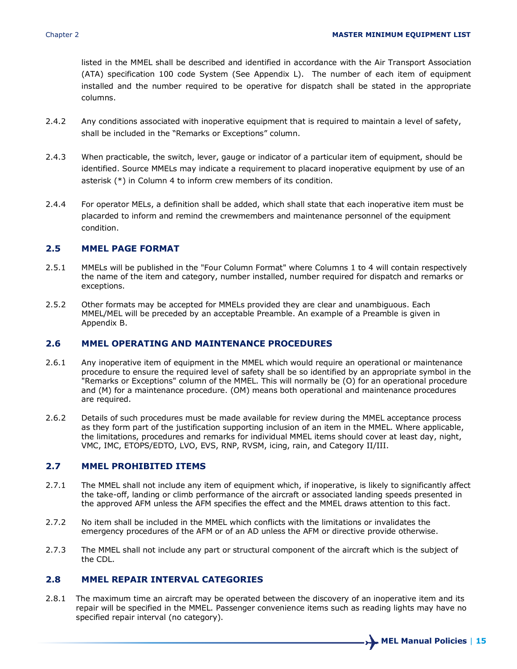listed in the MMEL shall be described and identified in accordance with the Air Transport Association (ATA) specification 100 code System (See Appendix L). The number of each item of equipment installed and the number required to be operative for dispatch shall be stated in the appropriate columns.

- 2.4.2 Any conditions associated with inoperative equipment that is required to maintain a level of safety, shall be included in the "Remarks or Exceptions" column.
- 2.4.3 When practicable, the switch, lever, gauge or indicator of a particular item of equipment, should be identified. Source MMELs may indicate a requirement to placard inoperative equipment by use of an asterisk (\*) in Column 4 to inform crew members of its condition.
- 2.4.4 For operator MELs, a definition shall be added, which shall state that each inoperative item must be placarded to inform and remind the crewmembers and maintenance personnel of the equipment condition.

#### **2.5 MMEL PAGE FORMAT**

- 2.5.1 MMELs will be published in the "Four Column Format" where Columns 1 to 4 will contain respectively the name of the item and category, number installed, number required for dispatch and remarks or exceptions.
- 2.5.2 Other formats may be accepted for MMELs provided they are clear and unambiguous. Each MMEL/MEL will be preceded by an acceptable Preamble. An example of a Preamble is given in Appendix B.

### **2.6 MMEL OPERATING AND MAINTENANCE PROCEDURES**

- 2.6.1 Any inoperative item of equipment in the MMEL which would require an operational or maintenance procedure to ensure the required level of safety shall be so identified by an appropriate symbol in the "Remarks or Exceptions" column of the MMEL. This will normally be (O) for an operational procedure and (M) for a maintenance procedure. (OM) means both operational and maintenance procedures are required.
- 2.6.2 Details of such procedures must be made available for review during the MMEL acceptance process as they form part of the justification supporting inclusion of an item in the MMEL. Where applicable, the limitations, procedures and remarks for individual MMEL items should cover at least day, night, VMC, IMC, ETOPS/EDTO, LVO, EVS, RNP, RVSM, icing, rain, and Category II/III.

#### **2.7 MMEL PROHIBITED ITEMS**

- 2.7.1 The MMEL shall not include any item of equipment which, if inoperative, is likely to significantly affect the take-off, landing or climb performance of the aircraft or associated landing speeds presented in the approved AFM unless the AFM specifies the effect and the MMEL draws attention to this fact.
- 2.7.2 No item shall be included in the MMEL which conflicts with the limitations or invalidates the emergency procedures of the AFM or of an AD unless the AFM or directive provide otherwise.
- 2.7.3 The MMEL shall not include any part or structural component of the aircraft which is the subject of the CDL.

#### **2.8 MMEL REPAIR INTERVAL CATEGORIES**

2.8.1 The maximum time an aircraft may be operated between the discovery of an inoperative item and its repair will be specified in the MMEL. Passenger convenience items such as reading lights may have no specified repair interval (no category).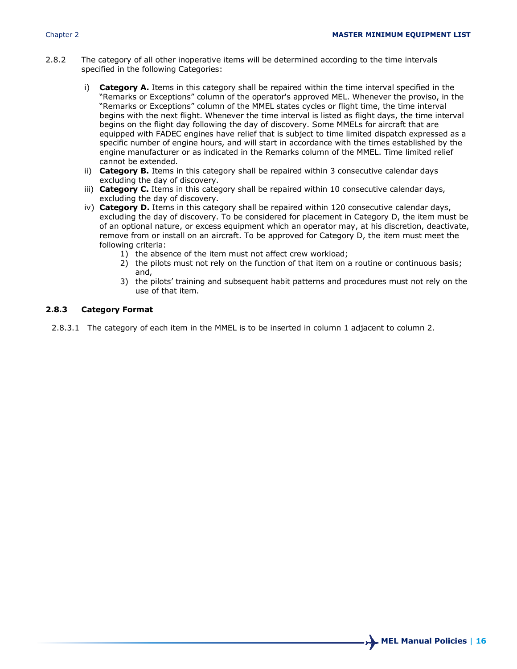- 2.8.2 The category of all other inoperative items will be determined according to the time intervals specified in the following Categories:
	- i) **Category A.** Items in this category shall be repaired within the time interval specified in the "Remarks or Exceptions" column of the operator's approved MEL. Whenever the proviso, in the "Remarks or Exceptions" column of the MMEL states cycles or flight time, the time interval begins with the next flight. Whenever the time interval is listed as flight days, the time interval begins on the flight day following the day of discovery. Some MMELs for aircraft that are equipped with FADEC engines have relief that is subject to time limited dispatch expressed as a specific number of engine hours, and will start in accordance with the times established by the engine manufacturer or as indicated in the Remarks column of the MMEL. Time limited relief cannot be extended.
	- ii) **Category B.** Items in this category shall be repaired within 3 consecutive calendar days excluding the day of discovery.
	- iii) **Category C.** Items in this category shall be repaired within 10 consecutive calendar days, excluding the day of discovery.
	- iv) **Category D.** Items in this category shall be repaired within 120 consecutive calendar days, excluding the day of discovery. To be considered for placement in Category D, the item must be of an optional nature, or excess equipment which an operator may, at his discretion, deactivate, remove from or install on an aircraft. To be approved for Category D, the item must meet the following criteria:
		- 1) the absence of the item must not affect crew workload;
		- 2) the pilots must not rely on the function of that item on a routine or continuous basis; and,
		- 3) the pilots' training and subsequent habit patterns and procedures must not rely on the use of that item.

#### **2.8.3 Category Format**

2.8.3.1 The category of each item in the MMEL is to be inserted in column 1 adjacent to column 2.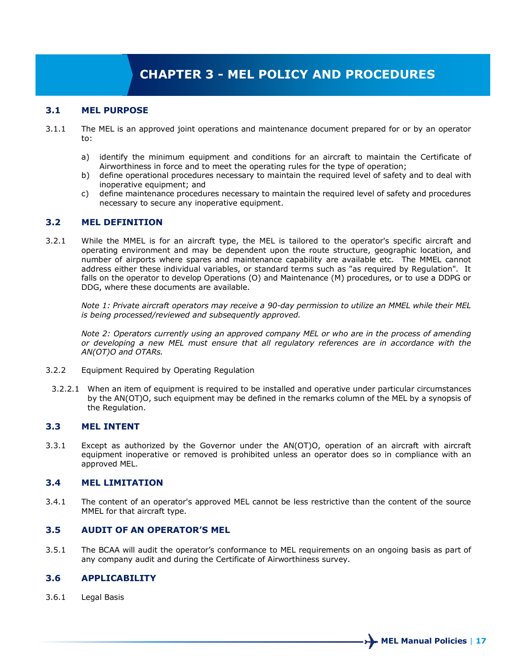## **CHAPTER 3 - MEL POLICY AND PROCEDURES**

#### **3.1 MEL PURPOSE**

- 3.1.1 The MEL is an approved joint operations and maintenance document prepared for or by an operator to:
	- a) identify the minimum equipment and conditions for an aircraft to maintain the Certificate of Airworthiness in force and to meet the operating rules for the type of operation;
	- b) define operational procedures necessary to maintain the required level of safety and to deal with inoperative equipment; and
	- c) define maintenance procedures necessary to maintain the required level of safety and procedures necessary to secure any inoperative equipment.

#### **3.2 MEL DEFINITION**

3.2.1 While the MMEL is for an aircraft type, the MEL is tailored to the operator's specific aircraft and operating environment and may be dependent upon the route structure, geographic location, and number of airports where spares and maintenance capability are available etc. The MMEL cannot address either these individual variables, or standard terms such as "as required by Regulation". It falls on the operator to develop Operations (O) and Maintenance (M) procedures, or to use a DDPG or DDG, where these documents are available.

*Note 1: Private aircraft operators may receive a 90-day permission to utilize an MMEL while their MEL is being processed/reviewed and subsequently approved.*

*Note 2: Operators currently using an approved company MEL or who are in the process of amending or developing a new MEL must ensure that all regulatory references are in accordance with the AN(OT)O and OTARs.*

- 3.2.2 Equipment Required by Operating Regulation
- 3.2.2.1 When an item of equipment is required to be installed and operative under particular circumstances by the AN(OT)O, such equipment may be defined in the remarks column of the MEL by a synopsis of the Regulation.

#### **3.3 MEL INTENT**

3.3.1 Except as authorized by the Governor under the AN(OT)O, operation of an aircraft with aircraft equipment inoperative or removed is prohibited unless an operator does so in compliance with an approved MEL.

#### **3.4 MEL LIMITATION**

3.4.1 The content of an operator's approved MEL cannot be less restrictive than the content of the source MMEL for that aircraft type.

#### **3.5 AUDIT OF AN OPERATOR'S MEL**

3.5.1 The BCAA will audit the operator's conformance to MEL requirements on an ongoing basis as part of any company audit and during the Certificate of Airworthiness survey.

#### **3.6 APPLICABILITY**

3.6.1 Legal Basis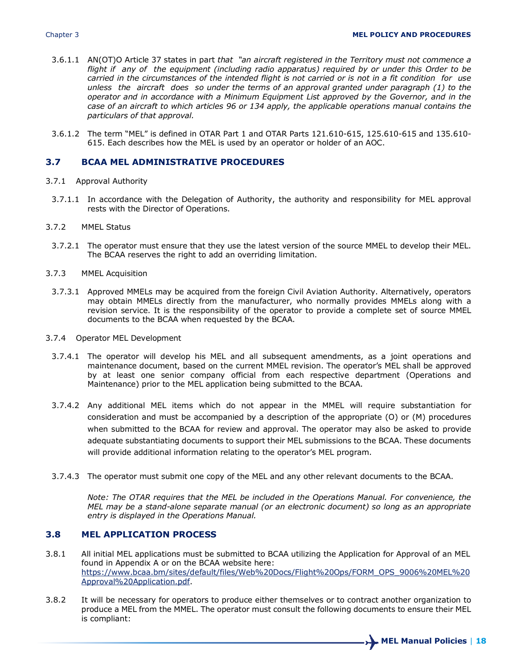- 3.6.1.1 AN(OT)O Article 37 states in part *that "an aircraft registered in the Territory must not commence a flight if any of the equipment (including radio apparatus) required by or under this Order to be carried in the circumstances of the intended flight is not carried or is not in a fit condition for use unless the aircraft does so under the terms of an approval granted under paragraph (1) to the operator and in accordance with a Minimum Equipment List approved by the Governor, and in the case of an aircraft to which articles 96 or 134 apply, the applicable operations manual contains the particulars of that approval.*
- 3.6.1.2 The term "MEL" is defined in OTAR Part 1 and OTAR Parts 121.610-615, 125.610-615 and 135.610- 615. Each describes how the MEL is used by an operator or holder of an AOC.

#### **3.7 BCAA MEL ADMINISTRATIVE PROCEDURES**

- 3.7.1 Approval Authority
- 3.7.1.1 In accordance with the Delegation of Authority, the authority and responsibility for MEL approval rests with the Director of Operations.
- 3.7.2 MMEL Status
- 3.7.2.1 The operator must ensure that they use the latest version of the source MMEL to develop their MEL. The BCAA reserves the right to add an overriding limitation.
- 3.7.3 MMEL Acquisition
	- 3.7.3.1 Approved MMELs may be acquired from the foreign Civil Aviation Authority. Alternatively, operators may obtain MMELs directly from the manufacturer, who normally provides MMELs along with a revision service. It is the responsibility of the operator to provide a complete set of source MMEL documents to the BCAA when requested by the BCAA.
- 3.7.4 Operator MEL Development
	- 3.7.4.1 The operator will develop his MEL and all subsequent amendments, as a joint operations and maintenance document, based on the current MMEL revision. The operator's MEL shall be approved by at least one senior company official from each respective department (Operations and Maintenance) prior to the MEL application being submitted to the BCAA.
	- 3.7.4.2 Any additional MEL items which do not appear in the MMEL will require substantiation for consideration and must be accompanied by a description of the appropriate (O) or (M) procedures when submitted to the BCAA for review and approval. The operator may also be asked to provide adequate substantiating documents to support their MEL submissions to the BCAA. These documents will provide additional information relating to the operator's MEL program.
- 3.7.4.3 The operator must submit one copy of the MEL and any other relevant documents to the BCAA.

*Note: The OTAR requires that the MEL be included in the Operations Manual. For convenience, the MEL may be a stand-alone separate manual (or an electronic document) so long as an appropriate entry is displayed in the Operations Manual.*

### **3.8 MEL APPLICATION PROCESS**

- 3.8.1 All initial MEL applications must be submitted to BCAA utilizing the Application for Approval of an MEL found in Appendix A or on the BCAA website here: [https://www.bcaa.bm/sites/default/files/Web%20Docs/Flight%20Ops/FORM\\_OPS\\_9006%20MEL%20](https://www.bcaa.bm/sites/default/files/Web%20Docs/Flight%20Ops/FORM_OPS_9006%20MEL%20Approval%20Application.pdf) [Approval%20Application.pdf.](https://www.bcaa.bm/sites/default/files/Web%20Docs/Flight%20Ops/FORM_OPS_9006%20MEL%20Approval%20Application.pdf)
- 3.8.2 It will be necessary for operators to produce either themselves or to contract another organization to produce a MEL from the MMEL. The operator must consult the following documents to ensure their MEL is compliant: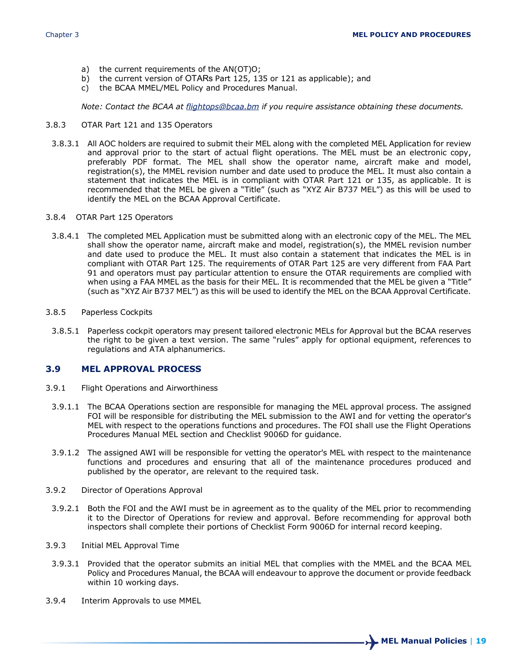- a) the current requirements of the AN(OT)O;
- b) the current version of OTARs Part 125, 135 or 121 as applicable); and c) the BCAA MMEL/MEL Policy and Procedures Manual.
- the BCAA MMEL/MEL Policy and Procedures Manual.

*Note: Contact the BCAA at [flightops@bcaa.bm](mailto:flightops@bcaa.bm) if you require assistance obtaining these documents.*

- 3.8.3 OTAR Part 121 and 135 Operators
- 3.8.3.1 All AOC holders are required to submit their MEL along with the completed MEL Application for review and approval prior to the start of actual flight operations. The MEL must be an electronic copy, preferably PDF format. The MEL shall show the operator name, aircraft make and model, registration(s), the MMEL revision number and date used to produce the MEL. It must also contain a statement that indicates the MEL is in compliant with OTAR Part 121 or 135, as applicable. It is recommended that the MEL be given a "Title" (such as "XYZ Air B737 MEL") as this will be used to identify the MEL on the BCAA Approval Certificate.
- 3.8.4 OTAR Part 125 Operators
- 3.8.4.1 The completed MEL Application must be submitted along with an electronic copy of the MEL. The MEL shall show the operator name, aircraft make and model, registration(s), the MMEL revision number and date used to produce the MEL. It must also contain a statement that indicates the MEL is in compliant with OTAR Part 125. The requirements of OTAR Part 125 are very different from FAA Part 91 and operators must pay particular attention to ensure the OTAR requirements are complied with when using a FAA MMEL as the basis for their MEL. It is recommended that the MEL be given a "Title" (such as "XYZ Air B737 MEL") as this will be used to identify the MEL on the BCAA Approval Certificate.
- 3.8.5 Paperless Cockpits
- 3.8.5.1 Paperless cockpit operators may present tailored electronic MELs for Approval but the BCAA reserves the right to be given a text version. The same "rules" apply for optional equipment, references to regulations and ATA alphanumerics.

#### **3.9 MEL APPROVAL PROCESS**

- 3.9.1 Flight Operations and Airworthiness
- 3.9.1.1 The BCAA Operations section are responsible for managing the MEL approval process. The assigned FOI will be responsible for distributing the MEL submission to the AWI and for vetting the operator's MEL with respect to the operations functions and procedures. The FOI shall use the Flight Operations Procedures Manual MEL section and Checklist 9006D for guidance.
- 3.9.1.2 The assigned AWI will be responsible for vetting the operator's MEL with respect to the maintenance functions and procedures and ensuring that all of the maintenance procedures produced and published by the operator, are relevant to the required task.
- 3.9.2 Director of Operations Approval
- 3.9.2.1 Both the FOI and the AWI must be in agreement as to the quality of the MEL prior to recommending it to the Director of Operations for review and approval. Before recommending for approval both inspectors shall complete their portions of Checklist Form 9006D for internal record keeping.
- 3.9.3 Initial MEL Approval Time
- 3.9.3.1 Provided that the operator submits an initial MEL that complies with the MMEL and the BCAA MEL Policy and Procedures Manual, the BCAA will endeavour to approve the document or provide feedback within 10 working days.
- 3.9.4 Interim Approvals to use MMEL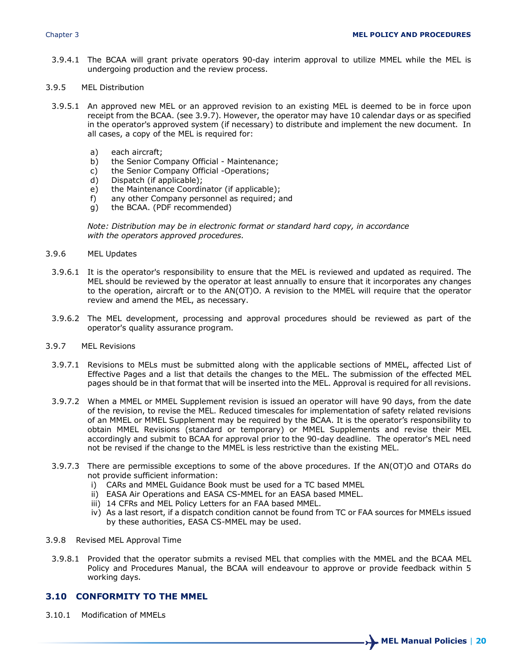3.9.4.1 The BCAA will grant private operators 90-day interim approval to utilize MMEL while the MEL is undergoing production and the review process.

#### 3.9.5 MEL Distribution

- 3.9.5.1 An approved new MEL or an approved revision to an existing MEL is deemed to be in force upon receipt from the BCAA. (see 3.9.7). However, the operator may have 10 calendar days or as specified in the operator's approved system (if necessary) to distribute and implement the new document. In all cases, a copy of the MEL is required for:
	- a) each aircraft;
	- b) the Senior Company Official Maintenance;
	- c) the Senior Company Official -Operations;
	- d) Dispatch (if applicable);
	- e) the Maintenance Coordinator (if applicable);
	- f) any other Company personnel as required; and
	- g) the BCAA. (PDF recommended)

*Note: Distribution may be in electronic format or standard hard copy, in accordance with the operators approved procedures.*

- 3.9.6 MEL Updates
- 3.9.6.1 It is the operator's responsibility to ensure that the MEL is reviewed and updated as required. The MEL should be reviewed by the operator at least annually to ensure that it incorporates any changes to the operation, aircraft or to the AN(OT)O. A revision to the MMEL will require that the operator review and amend the MEL, as necessary.
- 3.9.6.2 The MEL development, processing and approval procedures should be reviewed as part of the operator's quality assurance program.
- 3.9.7 MEL Revisions
	- 3.9.7.1 Revisions to MELs must be submitted along with the applicable sections of MMEL, affected List of Effective Pages and a list that details the changes to the MEL. The submission of the effected MEL pages should be in that format that will be inserted into the MEL. Approval is required for all revisions.
	- 3.9.7.2 When a MMEL or MMEL Supplement revision is issued an operator will have 90 days, from the date of the revision, to revise the MEL. Reduced timescales for implementation of safety related revisions of an MMEL or MMEL Supplement may be required by the BCAA. It is the operator's responsibility to obtain MMEL Revisions (standard or temporary) or MMEL Supplements and revise their MEL accordingly and submit to BCAA for approval prior to the 90-day deadline. The operator's MEL need not be revised if the change to the MMEL is less restrictive than the existing MEL.
	- 3.9.7.3 There are permissible exceptions to some of the above procedures. If the AN(OT)O and OTARs do not provide sufficient information:
		- i) CARs and MMEL Guidance Book must be used for a TC based MMEL
		- ii) EASA Air Operations and EASA CS-MMEL for an EASA based MMEL.
		- iii) 14 CFRs and MEL Policy Letters for an FAA based MMEL.
		- iv) As a last resort, if a dispatch condition cannot be found from TC or FAA sources for MMELs issued by these authorities, EASA CS-MMEL may be used.
- 3.9.8 Revised MEL Approval Time
- 3.9.8.1 Provided that the operator submits a revised MEL that complies with the MMEL and the BCAA MEL Policy and Procedures Manual, the BCAA will endeavour to approve or provide feedback within 5 working days.

### **3.10 CONFORMITY TO THE MMEL**

3.10.1 Modification of MMELs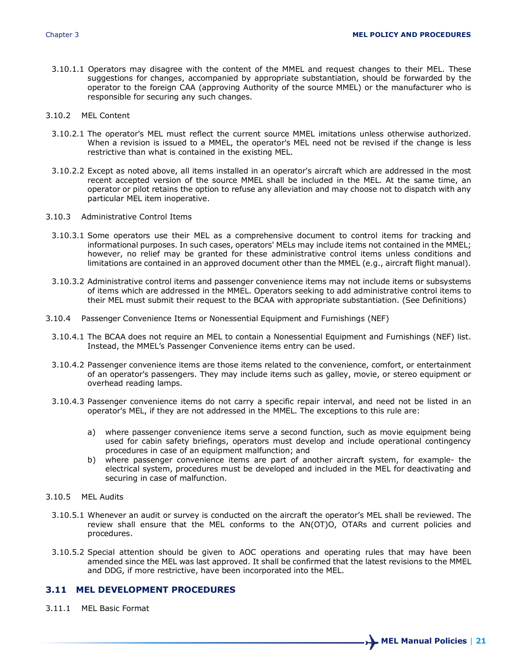- 3.10.1.1 Operators may disagree with the content of the MMEL and request changes to their MEL. These suggestions for changes, accompanied by appropriate substantiation, should be forwarded by the operator to the foreign CAA (approving Authority of the source MMEL) or the manufacturer who is responsible for securing any such changes.
- 3.10.2 MEL Content
	- 3.10.2.1 The operator's MEL must reflect the current source MMEL imitations unless otherwise authorized. When a revision is issued to a MMEL, the operator's MEL need not be revised if the change is less restrictive than what is contained in the existing MEL.
	- 3.10.2.2 Except as noted above, all items installed in an operator's aircraft which are addressed in the most recent accepted version of the source MMEL shall be included in the MEL. At the same time, an operator or pilot retains the option to refuse any alleviation and may choose not to dispatch with any particular MEL item inoperative.
- 3.10.3 Administrative Control Items
	- 3.10.3.1 Some operators use their MEL as a comprehensive document to control items for tracking and informational purposes. In such cases, operators' MELs may include items not contained in the MMEL; however, no relief may be granted for these administrative control items unless conditions and limitations are contained in an approved document other than the MMEL (e.g., aircraft flight manual).
	- 3.10.3.2 Administrative control items and passenger convenience items may not include items or subsystems of items which are addressed in the MMEL. Operators seeking to add administrative control items to their MEL must submit their request to the BCAA with appropriate substantiation. (See Definitions)
- 3.10.4 Passenger Convenience Items or Nonessential Equipment and Furnishings (NEF)
	- 3.10.4.1 The BCAA does not require an MEL to contain a Nonessential Equipment and Furnishings (NEF) list. Instead, the MMEL's Passenger Convenience items entry can be used.
	- 3.10.4.2 Passenger convenience items are those items related to the convenience, comfort, or entertainment of an operator's passengers. They may include items such as galley, movie, or stereo equipment or overhead reading lamps.
	- 3.10.4.3 Passenger convenience items do not carry a specific repair interval, and need not be listed in an operator's MEL, if they are not addressed in the MMEL. The exceptions to this rule are:
		- a) where passenger convenience items serve a second function, such as movie equipment being used for cabin safety briefings, operators must develop and include operational contingency procedures in case of an equipment malfunction; and
		- b) where passenger convenience items are part of another aircraft system, for example- the electrical system, procedures must be developed and included in the MEL for deactivating and securing in case of malfunction.

#### 3.10.5 MEL Audits

- 3.10.5.1 Whenever an audit or survey is conducted on the aircraft the operator's MEL shall be reviewed. The review shall ensure that the MEL conforms to the AN(OT)O, OTARs and current policies and procedures.
- 3.10.5.2 Special attention should be given to AOC operations and operating rules that may have been amended since the MEL was last approved. It shall be confirmed that the latest revisions to the MMEL and DDG, if more restrictive, have been incorporated into the MEL.

## **3.11 MEL DEVELOPMENT PROCEDURES**

3.11.1 MEL Basic Format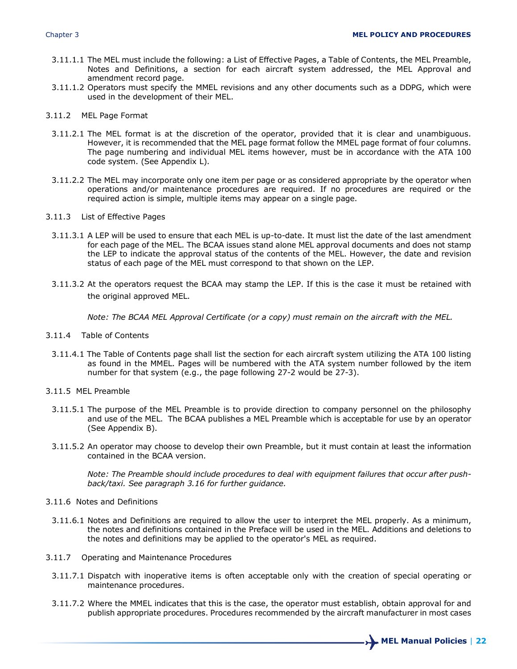- 3.11.1.1 The MEL must include the following: a List of Effective Pages, a Table of Contents, the MEL Preamble, Notes and Definitions, a section for each aircraft system addressed, the MEL Approval and amendment record page.
- 3.11.1.2 Operators must specify the MMEL revisions and any other documents such as a DDPG, which were used in the development of their MEL.
- 3.11.2 MEL Page Format
- 3.11.2.1 The MEL format is at the discretion of the operator, provided that it is clear and unambiguous. However, it is recommended that the MEL page format follow the MMEL page format of four columns. The page numbering and individual MEL items however, must be in accordance with the ATA 100 code system. (See Appendix L).
- 3.11.2.2 The MEL may incorporate only one item per page or as considered appropriate by the operator when operations and/or maintenance procedures are required. If no procedures are required or the required action is simple, multiple items may appear on a single page.
- 3.11.3 List of Effective Pages
	- 3.11.3.1 A LEP will be used to ensure that each MEL is up-to-date. It must list the date of the last amendment for each page of the MEL. The BCAA issues stand alone MEL approval documents and does not stamp the LEP to indicate the approval status of the contents of the MEL. However, the date and revision status of each page of the MEL must correspond to that shown on the LEP.
	- 3.11.3.2 At the operators request the BCAA may stamp the LEP. If this is the case it must be retained with the original approved MEL.

*Note: The BCAA MEL Approval Certificate (or a copy) must remain on the aircraft with the MEL.*

- 3.11.4 Table of Contents
- 3.11.4.1 The Table of Contents page shall list the section for each aircraft system utilizing the ATA 100 listing as found in the MMEL. Pages will be numbered with the ATA system number followed by the item number for that system (e.g., the page following 27-2 would be 27-3).
- 3.11.5 MEL Preamble
	- 3.11.5.1 The purpose of the MEL Preamble is to provide direction to company personnel on the philosophy and use of the MEL. The BCAA publishes a MEL Preamble which is acceptable for use by an operator (See Appendix B).
	- 3.11.5.2 An operator may choose to develop their own Preamble, but it must contain at least the information contained in the BCAA version.

*Note: The Preamble should include procedures to deal with equipment failures that occur after pushback/taxi. See paragraph 3.16 for further guidance.* 

- 3.11.6 Notes and Definitions
- 3.11.6.1 Notes and Definitions are required to allow the user to interpret the MEL properly. As a minimum, the notes and definitions contained in the Preface will be used in the MEL. Additions and deletions to the notes and definitions may be applied to the operator's MEL as required.
- 3.11.7 Operating and Maintenance Procedures
	- 3.11.7.1 Dispatch with inoperative items is often acceptable only with the creation of special operating or maintenance procedures.
	- 3.11.7.2 Where the MMEL indicates that this is the case, the operator must establish, obtain approval for and publish appropriate procedures. Procedures recommended by the aircraft manufacturer in most cases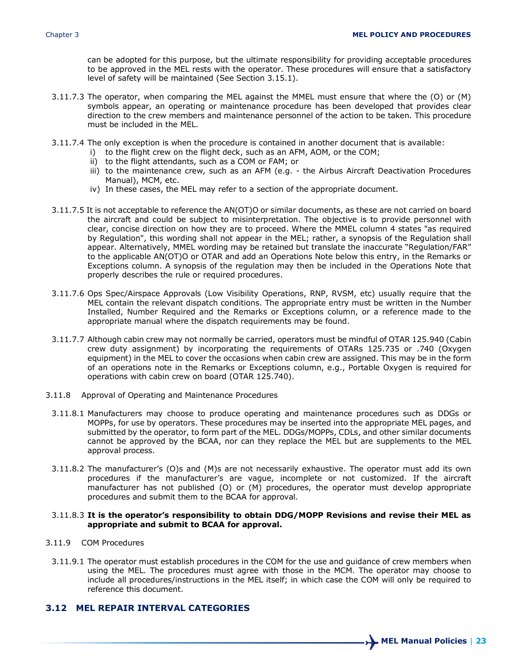can be adopted for this purpose, but the ultimate responsibility for providing acceptable procedures to be approved in the MEL rests with the operator. These procedures will ensure that a satisfactory level of safety will be maintained (See Section 3.15.1).

- 3.11.7.3 The operator, when comparing the MEL against the MMEL must ensure that where the (O) or (M) symbols appear, an operating or maintenance procedure has been developed that provides clear direction to the crew members and maintenance personnel of the action to be taken. This procedure must be included in the MEL.
- 3.11.7.4 The only exception is when the procedure is contained in another document that is available:
	- i) to the flight crew on the flight deck, such as an AFM, AOM, or the COM;
	- ii) to the flight attendants, such as a COM or FAM; or
	- iii) to the maintenance crew, such as an AFM (e.g. the Airbus Aircraft Deactivation Procedures Manual), MCM, etc.
	- iv) In these cases, the MEL may refer to a section of the appropriate document.
- 3.11.7.5 It is not acceptable to reference the AN(OT)O or similar documents, as these are not carried on board the aircraft and could be subject to misinterpretation. The objective is to provide personnel with clear, concise direction on how they are to proceed. Where the MMEL column 4 states "as required by Regulation", this wording shall not appear in the MEL; rather, a synopsis of the Regulation shall appear. Alternatively, MMEL wording may be retained but translate the inaccurate "Regulation/FAR" to the applicable AN(OT)O or OTAR and add an Operations Note below this entry, in the Remarks or Exceptions column. A synopsis of the regulation may then be included in the Operations Note that properly describes the rule or required procedures.
- 3.11.7.6 Ops Spec/Airspace Approvals (Low Visibility Operations, RNP, RVSM, etc) usually require that the MEL contain the relevant dispatch conditions. The appropriate entry must be written in the Number Installed, Number Required and the Remarks or Exceptions column, or a reference made to the appropriate manual where the dispatch requirements may be found.
- 3.11.7.7 Although cabin crew may not normally be carried, operators must be mindful of OTAR 125.940 (Cabin crew duty assignment) by incorporating the requirements of OTARs 125.735 or .740 (Oxygen equipment) in the MEL to cover the occasions when cabin crew are assigned. This may be in the form of an operations note in the Remarks or Exceptions column, e.g., Portable Oxygen is required for operations with cabin crew on board (OTAR 125.740).
- 3.11.8 Approval of Operating and Maintenance Procedures
	- 3.11.8.1 Manufacturers may choose to produce operating and maintenance procedures such as DDGs or MOPPs, for use by operators. These procedures may be inserted into the appropriate MEL pages, and submitted by the operator, to form part of the MEL. DDGs/MOPPs, CDLs, and other similar documents cannot be approved by the BCAA, nor can they replace the MEL but are supplements to the MEL approval process.
	- 3.11.8.2 The manufacturer's (O)s and (M)s are not necessarily exhaustive. The operator must add its own procedures if the manufacturer's are vague, incomplete or not customized. If the aircraft manufacturer has not published (O) or (M) procedures, the operator must develop appropriate procedures and submit them to the BCAA for approval.

#### 3.11.8.3 **It is the operator's responsibility to obtain DDG/MOPP Revisions and revise their MEL as appropriate and submit to BCAA for approval.**

- 3.11.9 COM Procedures
	- 3.11.9.1 The operator must establish procedures in the COM for the use and guidance of crew members when using the MEL. The procedures must agree with those in the MCM. The operator may choose to include all procedures/instructions in the MEL itself; in which case the COM will only be required to reference this document.

## **3.12 MEL REPAIR INTERVAL CATEGORIES**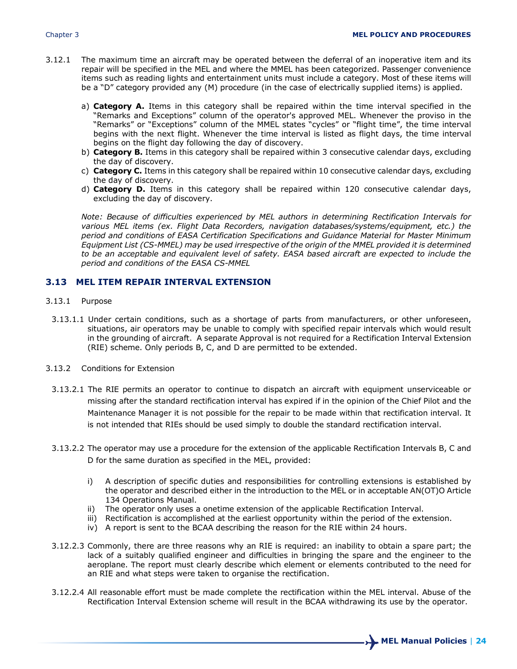- 3.12.1 The maximum time an aircraft may be operated between the deferral of an inoperative item and its repair will be specified in the MEL and where the MMEL has been categorized. Passenger convenience items such as reading lights and entertainment units must include a category. Most of these items will be a "D" category provided any (M) procedure (in the case of electrically supplied items) is applied.
	- a) **Category A.** Items in this category shall be repaired within the time interval specified in the "Remarks and Exceptions" column of the operator's approved MEL. Whenever the proviso in the "Remarks" or "Exceptions" column of the MMEL states "cycles" or "flight time", the time interval begins with the next flight. Whenever the time interval is listed as flight days, the time interval begins on the flight day following the day of discovery.
	- b) **Category B.** Items in this category shall be repaired within 3 consecutive calendar days, excluding the day of discovery.
	- c) **Category C.** Items in this category shall be repaired within 10 consecutive calendar days, excluding the day of discovery.
	- d) **Category D.** Items in this category shall be repaired within 120 consecutive calendar days, excluding the day of discovery.

*Note: Because of difficulties experienced by MEL authors in determining Rectification Intervals for various MEL items (ex. Flight Data Recorders, navigation databases/systems/equipment, etc.) the period and conditions of EASA Certification Specifications and Guidance Material for Master Minimum Equipment List (CS-MMEL) may be used irrespective of the origin of the MMEL provided it is determined to be an acceptable and equivalent level of safety. EASA based aircraft are expected to include the period and conditions of the EASA CS-MMEL*

#### **3.13 MEL ITEM REPAIR INTERVAL EXTENSION**

- 3.13.1 Purpose
	- 3.13.1.1 Under certain conditions, such as a shortage of parts from manufacturers, or other unforeseen, situations, air operators may be unable to comply with specified repair intervals which would result in the grounding of aircraft. A separate Approval is not required for a Rectification Interval Extension (RIE) scheme. Only periods B, C, and D are permitted to be extended.
- 3.13.2 Conditions for Extension
- 3.13.2.1 The RIE permits an operator to continue to dispatch an aircraft with equipment unserviceable or missing after the standard rectification interval has expired if in the opinion of the Chief Pilot and the Maintenance Manager it is not possible for the repair to be made within that rectification interval. It is not intended that RIEs should be used simply to double the standard rectification interval.
- 3.13.2.2 The operator may use a procedure for the extension of the applicable Rectification Intervals B, C and D for the same duration as specified in the MEL, provided:
	- i) A description of specific duties and responsibilities for controlling extensions is established by the operator and described either in the introduction to the MEL or in acceptable AN(OT)O Article 134 Operations Manual.
	- ii) The operator only uses a onetime extension of the applicable Rectification Interval.
	- iii) Rectification is accomplished at the earliest opportunity within the period of the extension.
	- iv) A report is sent to the BCAA describing the reason for the RIE within 24 hours.
- 3.12.2.3 Commonly, there are three reasons why an RIE is required: an inability to obtain a spare part; the lack of a suitably qualified engineer and difficulties in bringing the spare and the engineer to the aeroplane. The report must clearly describe which element or elements contributed to the need for an RIE and what steps were taken to organise the rectification.
- 3.12.2.4 All reasonable effort must be made complete the rectification within the MEL interval. Abuse of the Rectification Interval Extension scheme will result in the BCAA withdrawing its use by the operator.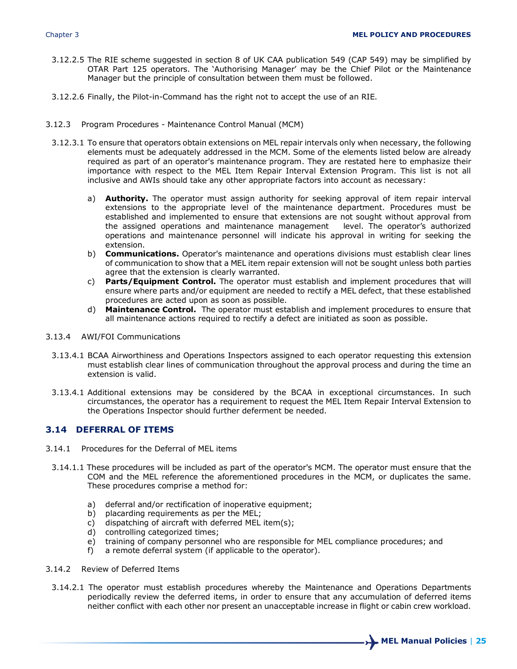- 3.12.2.5 The RIE scheme suggested in section 8 of UK CAA publication 549 (CAP 549) may be simplified by OTAR Part 125 operators. The 'Authorising Manager' may be the Chief Pilot or the Maintenance Manager but the principle of consultation between them must be followed.
- 3.12.2.6 Finally, the Pilot-in-Command has the right not to accept the use of an RIE.
- 3.12.3 Program Procedures Maintenance Control Manual (MCM)
	- 3.12.3.1 To ensure that operators obtain extensions on MEL repair intervals only when necessary, the following elements must be adequately addressed in the MCM. Some of the elements listed below are already required as part of an operator's maintenance program. They are restated here to emphasize their importance with respect to the MEL Item Repair Interval Extension Program. This list is not all inclusive and AWIs should take any other appropriate factors into account as necessary:
		- a) **Authority.** The operator must assign authority for seeking approval of item repair interval extensions to the appropriate level of the maintenance department. Procedures must be established and implemented to ensure that extensions are not sought without approval from the assigned operations and maintenance management level. The operator's authorized operations and maintenance personnel will indicate his approval in writing for seeking the extension.
		- b) **Communications.** Operator's maintenance and operations divisions must establish clear lines of communication to show that a MEL item repair extension will not be sought unless both parties agree that the extension is clearly warranted.
		- c) **Parts/Equipment Control.** The operator must establish and implement procedures that will ensure where parts and/or equipment are needed to rectify a MEL defect, that these established procedures are acted upon as soon as possible.
		- d) **Maintenance Control.** The operator must establish and implement procedures to ensure that all maintenance actions required to rectify a defect are initiated as soon as possible.
- 3.13.4 AWI/FOI Communications
	- 3.13.4.1 BCAA Airworthiness and Operations Inspectors assigned to each operator requesting this extension must establish clear lines of communication throughout the approval process and during the time an extension is valid.
	- 3.13.4.1 Additional extensions may be considered by the BCAA in exceptional circumstances. In such circumstances, the operator has a requirement to request the MEL Item Repair Interval Extension to the Operations Inspector should further deferment be needed.

#### **3.14 DEFERRAL OF ITEMS**

- 3.14.1 Procedures for the Deferral of MEL items
- 3.14.1.1 These procedures will be included as part of the operator's MCM. The operator must ensure that the COM and the MEL reference the aforementioned procedures in the MCM, or duplicates the same. These procedures comprise a method for:
	- a) deferral and/or rectification of inoperative equipment;
	- b) placarding requirements as per the MEL;
	- c) dispatching of aircraft with deferred MEL item(s);
	- d) controlling categorized times;
	- e) training of company personnel who are responsible for MEL compliance procedures; and
	- f) a remote deferral system (if applicable to the operator).
- 3.14.2 Review of Deferred Items
	- 3.14.2.1 The operator must establish procedures whereby the Maintenance and Operations Departments periodically review the deferred items, in order to ensure that any accumulation of deferred items neither conflict with each other nor present an unacceptable increase in flight or cabin crew workload.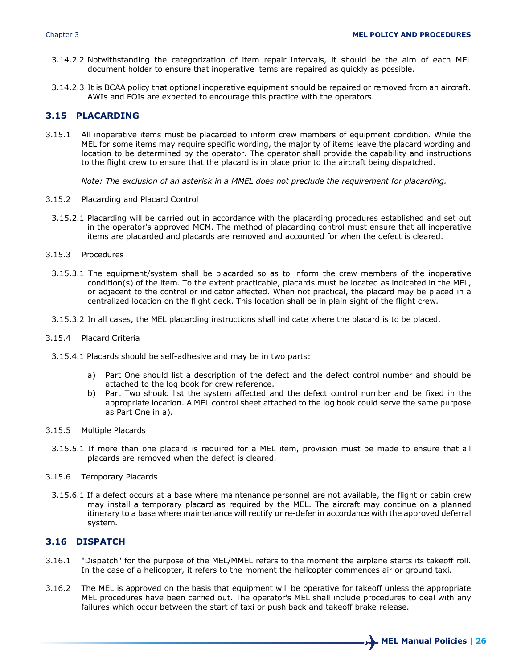- 3.14.2.2 Notwithstanding the categorization of item repair intervals, it should be the aim of each MEL document holder to ensure that inoperative items are repaired as quickly as possible.
- 3.14.2.3 It is BCAA policy that optional inoperative equipment should be repaired or removed from an aircraft. AWIs and FOIs are expected to encourage this practice with the operators.

## **3.15 PLACARDING**

3.15.1 All inoperative items must be placarded to inform crew members of equipment condition. While the MEL for some items may require specific wording, the majority of items leave the placard wording and location to be determined by the operator. The operator shall provide the capability and instructions to the flight crew to ensure that the placard is in place prior to the aircraft being dispatched.

*Note: The exclusion of an asterisk in a MMEL does not preclude the requirement for placarding.*

- 3.15.2 Placarding and Placard Control
- 3.15.2.1 Placarding will be carried out in accordance with the placarding procedures established and set out in the operator's approved MCM. The method of placarding control must ensure that all inoperative items are placarded and placards are removed and accounted for when the defect is cleared.
- 3.15.3 Procedures
	- 3.15.3.1 The equipment/system shall be placarded so as to inform the crew members of the inoperative condition(s) of the item. To the extent practicable, placards must be located as indicated in the MEL, or adjacent to the control or indicator affected. When not practical, the placard may be placed in a centralized location on the flight deck. This location shall be in plain sight of the flight crew.
- 3.15.3.2 In all cases, the MEL placarding instructions shall indicate where the placard is to be placed.
- 3.15.4 Placard Criteria
- 3.15.4.1 Placards should be self-adhesive and may be in two parts:
	- a) Part One should list a description of the defect and the defect control number and should be attached to the log book for crew reference.
	- b) Part Two should list the system affected and the defect control number and be fixed in the appropriate location. A MEL control sheet attached to the log book could serve the same purpose as Part One in a).
- 3.15.5 Multiple Placards
	- 3.15.5.1 If more than one placard is required for a MEL item, provision must be made to ensure that all placards are removed when the defect is cleared.
- 3.15.6 Temporary Placards
	- 3.15.6.1 If a defect occurs at a base where maintenance personnel are not available, the flight or cabin crew may install a temporary placard as required by the MEL. The aircraft may continue on a planned itinerary to a base where maintenance will rectify or re-defer in accordance with the approved deferral system.

#### **3.16 DISPATCH**

- 3.16.1 "Dispatch" for the purpose of the MEL/MMEL refers to the moment the airplane starts its takeoff roll. In the case of a helicopter, it refers to the moment the helicopter commences air or ground taxi.
- 3.16.2 The MEL is approved on the basis that equipment will be operative for takeoff unless the appropriate MEL procedures have been carried out. The operator's MEL shall include procedures to deal with any failures which occur between the start of taxi or push back and takeoff brake release.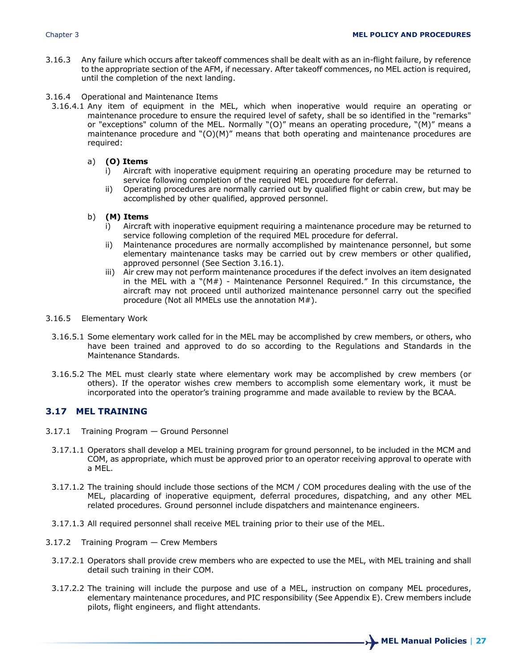- 3.16.3 Any failure which occurs after takeoff commences shall be dealt with as an in-flight failure, by reference to the appropriate section of the AFM, if necessary. After takeoff commences, no MEL action is required, until the completion of the next landing.
- 3.16.4 Operational and Maintenance Items
- 3.16.4.1 Any item of equipment in the MEL, which when inoperative would require an operating or maintenance procedure to ensure the required level of safety, shall be so identified in the "remarks" or "exceptions" column of the MEL. Normally "(O)" means an operating procedure, "(M)" means a maintenance procedure and "(O)(M)" means that both operating and maintenance procedures are required:
	- a) **(O) Items**
		- i) Aircraft with inoperative equipment requiring an operating procedure may be returned to service following completion of the required MEL procedure for deferral.
		- ii) Operating procedures are normally carried out by qualified flight or cabin crew, but may be accomplished by other qualified, approved personnel.
	- b) **(M) Items**
		- i) Aircraft with inoperative equipment requiring a maintenance procedure may be returned to service following completion of the required MEL procedure for deferral.
		- ii) Maintenance procedures are normally accomplished by maintenance personnel, but some elementary maintenance tasks may be carried out by crew members or other qualified, approved personnel (See Section 3.16.1).
		- iii) Air crew may not perform maintenance procedures if the defect involves an item designated in the MEL with a "(M#) - Maintenance Personnel Required." In this circumstance, the aircraft may not proceed until authorized maintenance personnel carry out the specified procedure (Not all MMELs use the annotation M#).
- 3.16.5 Elementary Work
- 3.16.5.1 Some elementary work called for in the MEL may be accomplished by crew members, or others, who have been trained and approved to do so according to the Regulations and Standards in the Maintenance Standards.
- 3.16.5.2 The MEL must clearly state where elementary work may be accomplished by crew members (or others). If the operator wishes crew members to accomplish some elementary work, it must be incorporated into the operator's training programme and made available to review by the BCAA.

## **3.17 MEL TRAINING**

- 3.17.1 Training Program Ground Personnel
	- 3.17.1.1 Operators shall develop a MEL training program for ground personnel, to be included in the MCM and COM, as appropriate, which must be approved prior to an operator receiving approval to operate with a MEL.
	- 3.17.1.2 The training should include those sections of the MCM / COM procedures dealing with the use of the MEL, placarding of inoperative equipment, deferral procedures, dispatching, and any other MEL related procedures. Ground personnel include dispatchers and maintenance engineers.
- 3.17.1.3 All required personnel shall receive MEL training prior to their use of the MEL.
- 3.17.2 Training Program Crew Members
	- 3.17.2.1 Operators shall provide crew members who are expected to use the MEL, with MEL training and shall detail such training in their COM.
	- 3.17.2.2 The training will include the purpose and use of a MEL, instruction on company MEL procedures, elementary maintenance procedures, and PIC responsibility (See Appendix E). Crew members include pilots, flight engineers, and flight attendants.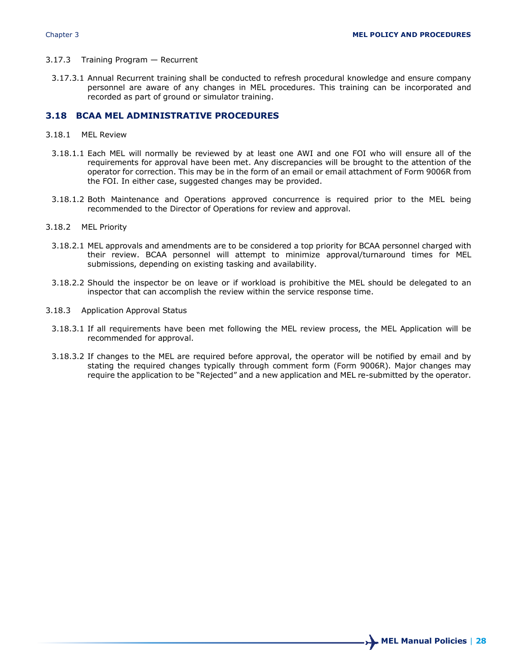- 3.17.3 Training Program Recurrent
	- 3.17.3.1 Annual Recurrent training shall be conducted to refresh procedural knowledge and ensure company personnel are aware of any changes in MEL procedures. This training can be incorporated and recorded as part of ground or simulator training.

#### **3.18 BCAA MEL ADMINISTRATIVE PROCEDURES**

- 3.18.1 MEL Review
- 3.18.1.1 Each MEL will normally be reviewed by at least one AWI and one FOI who will ensure all of the requirements for approval have been met. Any discrepancies will be brought to the attention of the operator for correction. This may be in the form of an email or email attachment of Form 9006R from the FOI. In either case, suggested changes may be provided.
- 3.18.1.2 Both Maintenance and Operations approved concurrence is required prior to the MEL being recommended to the Director of Operations for review and approval.
- 3.18.2 MEL Priority
	- 3.18.2.1 MEL approvals and amendments are to be considered a top priority for BCAA personnel charged with their review. BCAA personnel will attempt to minimize approval/turnaround times for MEL submissions, depending on existing tasking and availability.
	- 3.18.2.2 Should the inspector be on leave or if workload is prohibitive the MEL should be delegated to an inspector that can accomplish the review within the service response time.
- 3.18.3 Application Approval Status
	- 3.18.3.1 If all requirements have been met following the MEL review process, the MEL Application will be recommended for approval.
	- 3.18.3.2 If changes to the MEL are required before approval, the operator will be notified by email and by stating the required changes typically through comment form (Form 9006R). Major changes may require the application to be "Rejected" and a new application and MEL re-submitted by the operator.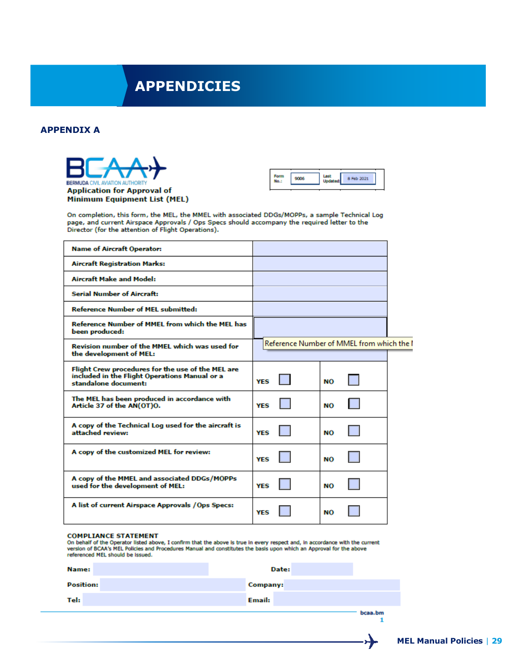## **APPENDICIES**

#### **APPENDIX A**





On completion, this form, the MEL, the MMEL with associated DDGs/MOPPs, a sample Technical Log page, and current Airspace Approvals / Ops Specs should accompany the required letter to the Director (for the attention of Flight Operations).

| <b>Name of Aircraft Operator:</b>                                                                                          |                                           |  |
|----------------------------------------------------------------------------------------------------------------------------|-------------------------------------------|--|
| <b>Aircraft Registration Marks:</b>                                                                                        |                                           |  |
| <b>Aircraft Make and Model:</b>                                                                                            |                                           |  |
| <b>Serial Number of Aircraft:</b>                                                                                          |                                           |  |
| <b>Reference Number of MEL submitted:</b>                                                                                  |                                           |  |
| Reference Number of MMEL from which the MEL has<br>been produced:                                                          |                                           |  |
| Revision number of the MMEL which was used for<br>the development of MEL:                                                  | Reference Number of MMEL from which the I |  |
| Flight Crew procedures for the use of the MEL are<br>included in the Flight Operations Manual or a<br>standalone document: | YFS<br>NΟ                                 |  |
| The MEL has been produced in accordance with<br>Article 37 of the AN(OT)O.                                                 | YFS<br>NО                                 |  |
| A copy of the Technical Log used for the aircraft is<br>attached review:                                                   | <b>YES</b><br>NΟ                          |  |
| A copy of the customized MEL for review:                                                                                   | YFS<br>NΟ                                 |  |
| A copy of the MMEL and associated DDGs/MOPPs<br>used for the development of MEL:                                           | YFS<br>NО                                 |  |
| A list of current Airspace Approvals / Ops Specs:                                                                          | <b>YES</b><br>NΟ                          |  |

#### **COMPLIANCE STATEMENT**

On behalf of the Operator listed above, I confirm that the above is true in every respect and, in accordance with the current version of BCAA's MEL Policies and Procedures Manual and constitutes the basis upon which an Approval for the above referenced MEL should be issued.

| <b>Name:</b>     | Date:           |  |
|------------------|-----------------|--|
| <b>Position:</b> | <b>Company:</b> |  |
| Tel:             | <b>Email:</b>   |  |
|                  | bcaa.bm         |  |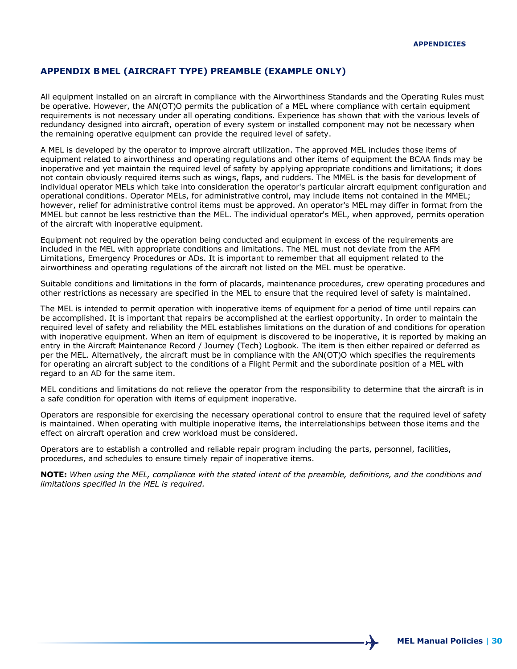#### **APPENDIX B MEL (AIRCRAFT TYPE) PREAMBLE (EXAMPLE ONLY)**

All equipment installed on an aircraft in compliance with the Airworthiness Standards and the Operating Rules must be operative. However, the AN(OT)O permits the publication of a MEL where compliance with certain equipment requirements is not necessary under all operating conditions. Experience has shown that with the various levels of redundancy designed into aircraft, operation of every system or installed component may not be necessary when the remaining operative equipment can provide the required level of safety.

A MEL is developed by the operator to improve aircraft utilization. The approved MEL includes those items of equipment related to airworthiness and operating regulations and other items of equipment the BCAA finds may be inoperative and yet maintain the required level of safety by applying appropriate conditions and limitations; it does not contain obviously required items such as wings, flaps, and rudders. The MMEL is the basis for development of individual operator MELs which take into consideration the operator's particular aircraft equipment configuration and operational conditions. Operator MELs, for administrative control, may include items not contained in the MMEL; however, relief for administrative control items must be approved. An operator's MEL may differ in format from the MMEL but cannot be less restrictive than the MEL. The individual operator's MEL, when approved, permits operation of the aircraft with inoperative equipment.

Equipment not required by the operation being conducted and equipment in excess of the requirements are included in the MEL with appropriate conditions and limitations. The MEL must not deviate from the AFM Limitations, Emergency Procedures or ADs. It is important to remember that all equipment related to the airworthiness and operating regulations of the aircraft not listed on the MEL must be operative.

Suitable conditions and limitations in the form of placards, maintenance procedures, crew operating procedures and other restrictions as necessary are specified in the MEL to ensure that the required level of safety is maintained.

The MEL is intended to permit operation with inoperative items of equipment for a period of time until repairs can be accomplished. It is important that repairs be accomplished at the earliest opportunity. In order to maintain the required level of safety and reliability the MEL establishes limitations on the duration of and conditions for operation with inoperative equipment. When an item of equipment is discovered to be inoperative, it is reported by making an entry in the Aircraft Maintenance Record / Journey (Tech) Logbook. The item is then either repaired or deferred as per the MEL. Alternatively, the aircraft must be in compliance with the AN(OT)O which specifies the requirements for operating an aircraft subject to the conditions of a Flight Permit and the subordinate position of a MEL with regard to an AD for the same item.

MEL conditions and limitations do not relieve the operator from the responsibility to determine that the aircraft is in a safe condition for operation with items of equipment inoperative.

Operators are responsible for exercising the necessary operational control to ensure that the required level of safety is maintained. When operating with multiple inoperative items, the interrelationships between those items and the effect on aircraft operation and crew workload must be considered.

Operators are to establish a controlled and reliable repair program including the parts, personnel, facilities, procedures, and schedules to ensure timely repair of inoperative items.

**NOTE:** *When using the MEL, compliance with the stated intent of the preamble, definitions, and the conditions and limitations specified in the MEL is required.*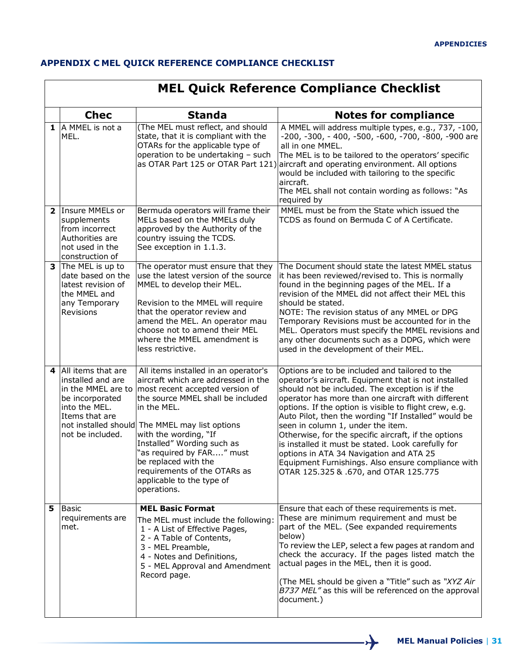## **APPENDIX C MEL QUICK REFERENCE COMPLIANCE CHECKLIST**

|    | <b>MEL Quick Reference Compliance Checklist</b>                                                                     |                                                                                                                                                                                                                                                                                                                                                                                                                                   |                                                                                                                                                                                                                                                                                                                                                                                                                                                                                                                                                                                                                                |  |  |
|----|---------------------------------------------------------------------------------------------------------------------|-----------------------------------------------------------------------------------------------------------------------------------------------------------------------------------------------------------------------------------------------------------------------------------------------------------------------------------------------------------------------------------------------------------------------------------|--------------------------------------------------------------------------------------------------------------------------------------------------------------------------------------------------------------------------------------------------------------------------------------------------------------------------------------------------------------------------------------------------------------------------------------------------------------------------------------------------------------------------------------------------------------------------------------------------------------------------------|--|--|
|    | <b>Chec</b>                                                                                                         | <b>Standa</b>                                                                                                                                                                                                                                                                                                                                                                                                                     | <b>Notes for compliance</b>                                                                                                                                                                                                                                                                                                                                                                                                                                                                                                                                                                                                    |  |  |
|    | $1$ A MMEL is not a<br>MEL.                                                                                         | (The MEL must reflect, and should<br>state, that it is compliant with the<br>OTARs for the applicable type of<br>operation to be undertaking - such<br>as OTAR Part 125 or OTAR Part 121)                                                                                                                                                                                                                                         | A MMEL will address multiple types, e.g., 737, -100,<br>-200, -300, - 400, -500, -600, -700, -800, -900 are<br>all in one MMEL.<br>The MEL is to be tailored to the operators' specific<br>aircraft and operating environment. All options<br>would be included with tailoring to the specific<br>aircraft.<br>The MEL shall not contain wording as follows: "As<br>required by                                                                                                                                                                                                                                                |  |  |
|    | 2 Insure MMELs or<br>supplements<br>from incorrect<br>Authorities are<br>not used in the<br>construction of         | Bermuda operators will frame their<br>MELs based on the MMELs duly<br>approved by the Authority of the<br>country issuing the TCDS.<br>See exception in 1.1.3.                                                                                                                                                                                                                                                                    | MMEL must be from the State which issued the<br>TCDS as found on Bermuda C of A Certificate.                                                                                                                                                                                                                                                                                                                                                                                                                                                                                                                                   |  |  |
|    | 3 The MEL is up to<br>date based on the<br>latest revision of<br>the MMEL and<br>any Temporary<br>Revisions         | The operator must ensure that they<br>use the latest version of the source<br>MMEL to develop their MEL.<br>Revision to the MMEL will require<br>that the operator review and<br>amend the MEL. An operator mau<br>choose not to amend their MEL<br>where the MMEL amendment is<br>less restrictive.                                                                                                                              | The Document should state the latest MMEL status<br>it has been reviewed/revised to. This is normally<br>found in the beginning pages of the MEL. If a<br>revision of the MMEL did not affect their MEL this<br>should be stated.<br>NOTE: The revision status of any MMEL or DPG<br>Temporary Revisions must be accounted for in the<br>MEL. Operators must specify the MMEL revisions and<br>any other documents such as a DDPG, which were<br>used in the development of their MEL.                                                                                                                                         |  |  |
|    | 4 All items that are<br>installed and are<br>be incorporated<br>into the MEL.<br>Items that are<br>not be included. | All items installed in an operator's<br>aircraft which are addressed in the<br>in the MMEL are to   most recent accepted version of<br>the source MMEL shall be included<br>in the MEL.<br>not installed should The MMEL may list options<br>with the wording, "If<br>Installed" Wording such as<br>"as required by FAR" must<br>be replaced with the<br>requirements of the OTARs as<br>applicable to the type of<br>operations. | Options are to be included and tailored to the<br>operator's aircraft. Equipment that is not installed<br>should not be included. The exception is if the<br>operator has more than one aircraft with different<br>options. If the option is visible to flight crew, e.g.<br>Auto Pilot, then the wording "If Installed" would be<br>seen in column 1, under the item.<br>Otherwise, for the specific aircraft, if the options<br>is installed it must be stated. Look carefully for<br>options in ATA 34 Navigation and ATA 25<br>Equipment Furnishings. Also ensure compliance with<br>OTAR 125.325 & .670, and OTAR 125.775 |  |  |
| 5. | <b>Basic</b><br>requirements are<br>met.                                                                            | <b>MEL Basic Format</b><br>The MEL must include the following:<br>1 - A List of Effective Pages,<br>2 - A Table of Contents,<br>3 - MEL Preamble,<br>4 - Notes and Definitions,<br>5 - MEL Approval and Amendment<br>Record page.                                                                                                                                                                                                 | Ensure that each of these requirements is met.<br>These are minimum requirement and must be<br>part of the MEL. (See expanded requirements<br>below)<br>To review the LEP, select a few pages at random and<br>check the accuracy. If the pages listed match the<br>actual pages in the MEL, then it is good.<br>(The MEL should be given a "Title" such as "XYZ Air<br>B737 MEL" as this will be referenced on the approval<br>document.)                                                                                                                                                                                     |  |  |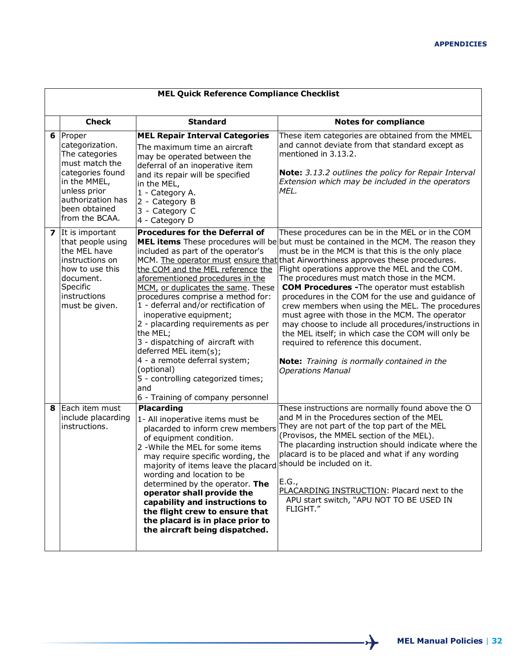|   | <b>MEL Quick Reference Compliance Checklist</b>                                                                                                                           |                                                                                                                                                                                                                                                                                                                                                                                                                                                                                                                                                   |                                                                                                                                                                                                                                                                                                                                                                                                                                                                                                                                                                                                                                                                                                                                                                                                                                             |  |  |
|---|---------------------------------------------------------------------------------------------------------------------------------------------------------------------------|---------------------------------------------------------------------------------------------------------------------------------------------------------------------------------------------------------------------------------------------------------------------------------------------------------------------------------------------------------------------------------------------------------------------------------------------------------------------------------------------------------------------------------------------------|---------------------------------------------------------------------------------------------------------------------------------------------------------------------------------------------------------------------------------------------------------------------------------------------------------------------------------------------------------------------------------------------------------------------------------------------------------------------------------------------------------------------------------------------------------------------------------------------------------------------------------------------------------------------------------------------------------------------------------------------------------------------------------------------------------------------------------------------|--|--|
|   | <b>Check</b>                                                                                                                                                              | <b>Standard</b>                                                                                                                                                                                                                                                                                                                                                                                                                                                                                                                                   | <b>Notes for compliance</b>                                                                                                                                                                                                                                                                                                                                                                                                                                                                                                                                                                                                                                                                                                                                                                                                                 |  |  |
| 6 | Proper<br>categorization.<br>The categories<br>must match the<br>categories found<br>in the MMEL,<br>unless prior<br>authorization has<br>been obtained<br>from the BCAA. | <b>MEL Repair Interval Categories</b><br>The maximum time an aircraft<br>may be operated between the<br>deferral of an inoperative item<br>and its repair will be specified<br>in the MEL,<br>1 - Category A.<br>2 - Category B<br>3 - Category C<br>4 - Category D                                                                                                                                                                                                                                                                               | These item categories are obtained from the MMEL<br>and cannot deviate from that standard except as<br>mentioned in 3.13.2.<br>Note: 3.13.2 outlines the policy for Repair Interval<br>Extension which may be included in the operators<br>MEL.                                                                                                                                                                                                                                                                                                                                                                                                                                                                                                                                                                                             |  |  |
|   | 7 It is important<br>that people using<br>the MEL have<br>instructions on<br>how to use this<br>document.<br>Specific<br>instructions<br>must be given.                   | <b>Procedures for the Deferral of</b><br>included as part of the operator's<br>the COM and the MEL reference the<br>aforementioned procedures in the<br>MCM, or duplicates the same. These<br>procedures comprise a method for:<br>1 - deferral and/or rectification of<br>inoperative equipment;<br>2 - placarding requirements as per<br>the MEL;<br>3 - dispatching of aircraft with<br>deferred MEL item(s);<br>4 - a remote deferral system;<br>(optional)<br>5 - controlling categorized times;<br>and<br>6 - Training of company personnel | These procedures can be in the MEL or in the COM<br><b>MEL items</b> These procedures will be but must be contained in the MCM. The reason they<br>must be in the MCM is that this is the only place<br>MCM. The operator must ensure that that Airworthiness approves these procedures.<br>Flight operations approve the MEL and the COM.<br>The procedures must match those in the MCM.<br><b>COM Procedures - The operator must establish</b><br>procedures in the COM for the use and guidance of<br>crew members when using the MEL. The procedures<br>must agree with those in the MCM. The operator<br>may choose to include all procedures/instructions in<br>the MEL itself; in which case the COM will only be<br>required to reference this document.<br>Note: Training is normally contained in the<br><b>Operations Manual</b> |  |  |
| 8 | Each item must<br>include placarding<br>instructions.                                                                                                                     | <b>Placarding</b><br>1- All inoperative items must be<br>placarded to inform crew members<br>of equipment condition.<br>2 - While the MEL for some items<br>may require specific wording, the<br>majority of items leave the placard should be included on it.<br>wording and location to be<br>determined by the operator. The<br>operator shall provide the<br>capability and instructions to<br>the flight crew to ensure that<br>the placard is in place prior to<br>the aircraft being dispatched.                                           | These instructions are normally found above the O<br>and M in the Procedures section of the MEL<br>They are not part of the top part of the MEL<br>(Provisos, the MMEL section of the MEL).<br>The placarding instruction should indicate where the<br>placard is to be placed and what if any wording<br>E.G.,<br>PLACARDING INSTRUCTION: Placard next to the<br>APU start switch, "APU NOT TO BE USED IN<br>FI IGHT."                                                                                                                                                                                                                                                                                                                                                                                                                     |  |  |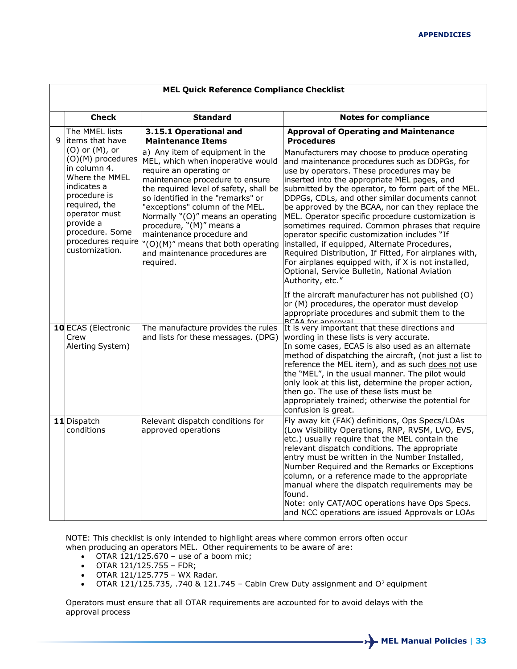|   | <b>MEL Quick Reference Compliance Checklist</b>                                                                                                                                                                                                          |                                                                                                                                                                                                                                                                                                                                                                                                                                                                                               |                                                                                                                                                                                                                                                                                                                                                                                                                                                                                                                                                                                                                                                                                                                                                                                                           |  |  |
|---|----------------------------------------------------------------------------------------------------------------------------------------------------------------------------------------------------------------------------------------------------------|-----------------------------------------------------------------------------------------------------------------------------------------------------------------------------------------------------------------------------------------------------------------------------------------------------------------------------------------------------------------------------------------------------------------------------------------------------------------------------------------------|-----------------------------------------------------------------------------------------------------------------------------------------------------------------------------------------------------------------------------------------------------------------------------------------------------------------------------------------------------------------------------------------------------------------------------------------------------------------------------------------------------------------------------------------------------------------------------------------------------------------------------------------------------------------------------------------------------------------------------------------------------------------------------------------------------------|--|--|
|   | <b>Check</b>                                                                                                                                                                                                                                             | <b>Standard</b>                                                                                                                                                                                                                                                                                                                                                                                                                                                                               | <b>Notes for compliance</b>                                                                                                                                                                                                                                                                                                                                                                                                                                                                                                                                                                                                                                                                                                                                                                               |  |  |
| 9 | The MMEL lists<br>items that have<br>$(0)$ or $(M)$ , or<br>(O)(M) procedures<br>in column 4.<br>Where the MMEL<br>indicates a<br>procedure is<br>required, the<br>operator must<br>provide a<br>procedure. Some<br>procedures require<br>customization. | 3.15.1 Operational and<br><b>Maintenance Items</b><br>a) Any item of equipment in the<br>MEL, which when inoperative would<br>require an operating or<br>maintenance procedure to ensure<br>the required level of safety, shall be<br>so identified in the "remarks" or<br>"exceptions" column of the MEL.<br>Normally "(O)" means an operating<br>procedure, "(M)" means a<br>maintenance procedure and<br>"(O)(M)" means that both operating<br>and maintenance procedures are<br>required. | <b>Approval of Operating and Maintenance</b><br><b>Procedures</b><br>Manufacturers may choose to produce operating<br>and maintenance procedures such as DDPGs, for<br>use by operators. These procedures may be<br>inserted into the appropriate MEL pages, and<br>submitted by the operator, to form part of the MEL.<br>DDPGs, CDLs, and other similar documents cannot<br>be approved by the BCAA, nor can they replace the<br>MEL. Operator specific procedure customization is<br>sometimes required. Common phrases that require<br>operator specific customization includes "If<br>installed, if equipped, Alternate Procedures,<br>Required Distribution, If Fitted, For airplanes with,<br>For airplanes equipped with, if X is not installed,<br>Optional, Service Bulletin, National Aviation |  |  |
|   | 10 ECAS (Electronic<br>Crew<br>Alerting System)                                                                                                                                                                                                          | The manufacture provides the rules<br>and lists for these messages. (DPG)                                                                                                                                                                                                                                                                                                                                                                                                                     | Authority, etc."<br>If the aircraft manufacturer has not published (O)<br>or (M) procedures, the operator must develop<br>appropriate procedures and submit them to the<br><b>BCAA for annroyal</b><br>It is very important that these directions and<br>wording in these lists is very accurate.<br>In some cases, ECAS is also used as an alternate<br>method of dispatching the aircraft, (not just a list to<br>reference the MEL item), and as such does not use<br>the "MEL", in the usual manner. The pilot would<br>only look at this list, determine the proper action,<br>then go. The use of these lists must be<br>appropriately trained; otherwise the potential for<br>confusion is great.                                                                                                  |  |  |
|   | 11 Dispatch<br>conditions                                                                                                                                                                                                                                | Relevant dispatch conditions for<br>approved operations                                                                                                                                                                                                                                                                                                                                                                                                                                       | Fly away kit (FAK) definitions, Ops Specs/LOAs<br>(Low Visibility Operations, RNP, RVSM, LVO, EVS,<br>etc.) usually require that the MEL contain the<br>relevant dispatch conditions. The appropriate<br>entry must be written in the Number Installed,<br>Number Required and the Remarks or Exceptions<br>column, or a reference made to the appropriate<br>manual where the dispatch requirements may be<br>found.<br>Note: only CAT/AOC operations have Ops Specs.<br>and NCC operations are issued Approvals or LOAs                                                                                                                                                                                                                                                                                 |  |  |

NOTE: This checklist is only intended to highlight areas where common errors often occur when producing an operators MEL. Other requirements to be aware of are:

- OTAR  $121/125.670$  use of a boom mic;
- OTAR 121/125.755 FDR;
- OTAR 121/125.775 WX Radar.
- OTAR 121/125.735, .740 & 121.745 Cabin Crew Duty assignment and  $O<sup>2</sup>$  equipment

Operators must ensure that all OTAR requirements are accounted for to avoid delays with the approval process